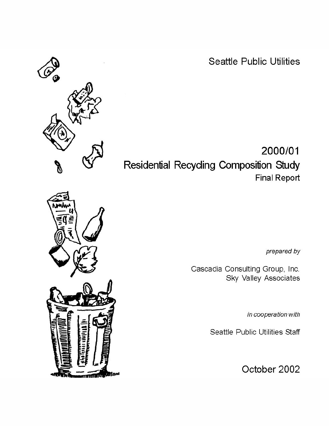**Seattle Public Utilities** 

2000/01 Residential Recycling Composition Study **Final Report** 

prepared by

Cascadia Consulting Group, Inc. Sky Valley Associates

in cooperation with

Seattle Public Utilities Staff

October 2002

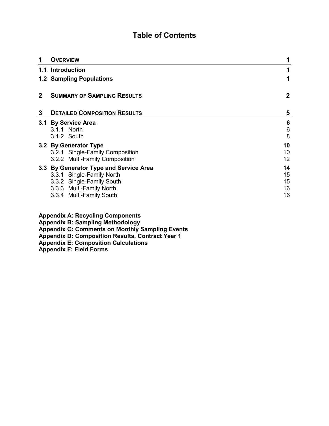### **Table of Contents**

|              | <b>OVERVIEW</b>                                                                                                                                          | 1                          |
|--------------|----------------------------------------------------------------------------------------------------------------------------------------------------------|----------------------------|
|              | 1.1 Introduction                                                                                                                                         |                            |
|              | <b>1.2 Sampling Populations</b>                                                                                                                          | 1                          |
| $\mathbf{2}$ | <b>SUMMARY OF SAMPLING RESULTS</b>                                                                                                                       | $\mathbf 2$                |
| 3            | <b>DETAILED COMPOSITION RESULTS</b>                                                                                                                      | 5                          |
|              | 3.1 By Service Area<br>3.1.1 North<br>3.1.2 South                                                                                                        | 6<br>$\,6$<br>8            |
|              | 3.2 By Generator Type<br>3.2.1 Single-Family Composition<br>3.2.2 Multi-Family Composition                                                               | 10<br>10<br>12             |
|              | 3.3 By Generator Type and Service Area<br>3.3.1 Single-Family North<br>3.3.2 Single-Family South<br>3.3.3 Multi-Family North<br>3.3.4 Multi-Family South | 14<br>15<br>15<br>16<br>16 |

|  | <b>Appendix A: Recycling Components</b> |
|--|-----------------------------------------|
|  |                                         |

**Appendix B: Sampling Methodology** 

**Appendix C: Comments on Monthly Sampling Events** 

**Appendix D: Composition Results, Contract Year 1** 

**Appendix E: Composition Calculations** 

**Appendix F: Field Forms**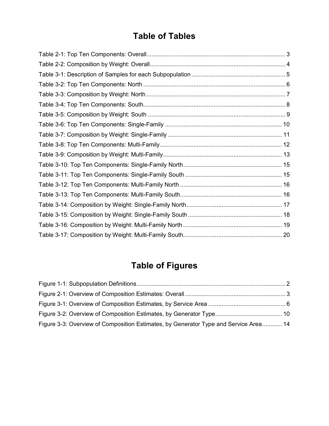# **Table of Tables**

# **Table of Figures**

| Figure 3-3: Overview of Composition Estimates, by Generator Type and Service Area 14 |  |
|--------------------------------------------------------------------------------------|--|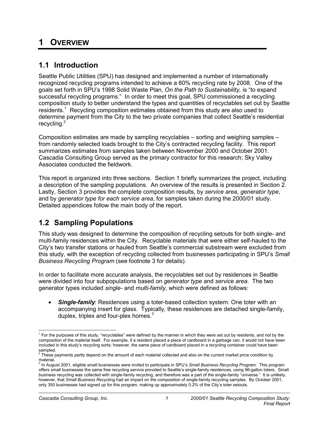# **1 OVERVIEW**

### **1.1 Introduction**

Seattle Public Utilities (SPU) has designed and implemented a number of internationally recognized recycling programs intended to achieve a 60% recycling rate by 2008. One of the goals set forth in SPU's 1998 Solid Waste Plan, *On the Path to Sustainability,* is "to expand successful recycling programs." In order to meet this goal, SPU commissioned a recycling composition study to better understand the types and quantities of recyclables set out by Seattle residents.<sup>1</sup> Recycling composition estimates obtained from this study are also used to determine payment from the City to the two private companies that collect Seattle's residential recycling.<sup>2</sup>

Composition estimates are made by sampling recyclables – sorting and weighing samples – from randomly selected loads brought to the City's contracted recycling facility. This report summarizes estimates from samples taken between November 2000 and October 2001. Cascadia Consulting Group served as the primary contractor for this research; Sky Valley Associates conducted the fieldwork.

This report is organized into three sections. Section 1 briefly summarizes the project, including a description of the sampling populations. An overview of the results is presented in Section 2. Lastly, Section 3 provides the complete composition results, by *service area*, *generator type*, and by *generator type for each service area*, for samples taken during the 2000/01 study. Detailed appendices follow the main body of the report.

# **1.2 Sampling Populations**

This study was designed to determine the composition of recycling setouts for both single- and multi-family residences within the City. Recyclable materials that were either self-hauled to the City's two transfer stations or hauled from Seattle's commercial substream were excluded from this study, with the exception of recycling collected from businesses participating in SPU's *Small Business Recycling Program* (see footnote 3 for details).

In order to facilitate more accurate analysis, the recyclables set out by residences in Seattle were divided into four subpopulations based on *generator type* and *service area*. The two generator types included *single-* and *multi-family*, which were defined as follows:

**Single-family:** Residences using a toter-based collection system: One toter with an accompanying insert for glass. Typically, these residences are detached single-family, duplex, triplex and four-plex homes. $3$ 

 $\overline{a}$  $1$  For the purposes of this study, "recyclables" were defined by the manner in which they were set out by residents, and not by the composition of the material itself. For example, if a resident placed a piece of cardboard in a garbage can, it would not have been included in this study's recycling sorts; however, the same piece of cardboard placed in a recycling container could have been

sampled.<br><sup>2</sup> These payments partly depend on the amount of each material collected and also on the current market price condition by

material. 3 In August 2001, eligible small businesses were invited to participate in SPU's *Small Business Recycling Program*. This program offers small businesses the same free recycling service provided to Seattle's single-family residences, using 96-gallon toters. Small business recycling was collected with single-family recycling, and therefore was a part of the single-family "universe." It is unlikely, however, that *Small Business Recycling* had an impact on the composition of single-family recycling samples. By October 2001, only 350 businesses had signed up for this program, making up approximately 0.2% of the City's toter setouts.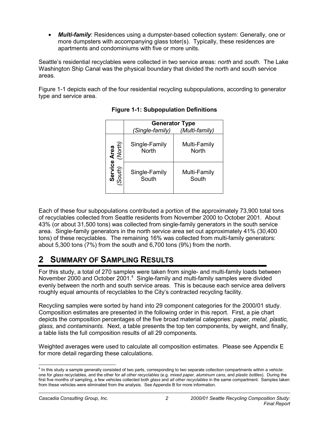• *Multi-family*: Residences using a dumpster-based collection system: Generally, one or more dumpsters with accompanying glass toter(s). Typically, these residences are apartments and condominiums with five or more units.

Seattle's residential recyclables were collected in two service areas: *north* and *south*. The Lake Washington Ship Canal was the physical boundary that divided the north and south service areas.

Figure 1-1 depicts each of the four residential recycling subpopulations, according to generator type and service area.

|                                       | <b>Generator Type</b>         |                              |  |  |  |  |
|---------------------------------------|-------------------------------|------------------------------|--|--|--|--|
|                                       | (Single-family)               | (Multi-family)               |  |  |  |  |
|                                       | Single-Family<br><b>North</b> | Multi-Family<br><b>North</b> |  |  |  |  |
| <b>Service Area</b><br>South) (North) | Single-Family<br>South        | Multi-Family<br>South        |  |  |  |  |

**Figure 1-1: Subpopulation Definitions** 

Each of these four subpopulations contributed a portion of the approximately 73,900 total tons of recyclables collected from Seattle residents from November 2000 to October 2001. About 43% (or about 31,500 tons) was collected from single-family generators in the south service area. Single-family generators in the north service area set out approximately 41% (30,400 tons) of these recyclables. The remaining 16% was collected from multi-family generators: about 5,300 tons (7%) from the south and 6,700 tons (9%) from the north.

# **2 SUMMARY OF SAMPLING RESULTS**

For this study, a total of 270 samples were taken from single- and multi-family loads between November 2000 and October 2001.<sup>4</sup> Single-family and multi-family samples were divided evenly between the north and south service areas. This is because each service area delivers roughly equal amounts of recyclables to the City's contracted recycling facility.

Recycling samples were sorted by hand into 29 component categories for the 2000/01 study. Composition estimates are presented in the following order in this report. First, a pie chart depicts the composition percentages of the five broad material categories: *paper, metal, plastic, glass,* and *contaminants.* Next, a table presents the top ten components, by weight, and finally, a table lists the full composition results of all 29 components.

Weighted averages were used to calculate all composition estimates. Please see Appendix E for more detail regarding these calculations.

 4 In this study a sample generally consisted of two parts, corresponding to two separate collection compartments within a vehicle: one for *glass* recyclables, and the other for *all other recyclables* (e.g. *mixed paper, aluminum cans*, and *plastic bottles*). During the first five months of sampling, a few vehicles collected both *glass* and *all other recyclables* in the same compartment. Samples taken from these vehicles were eliminated from the analysis. See Appendix B for more information.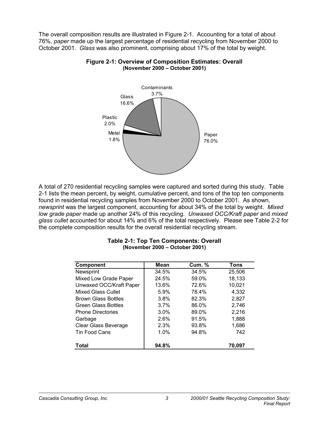The overall composition results are illustrated in Figure 2-1. Accounting for a total of about 76%, *paper* made up the largest percentage of residential recycling from November 2000 to October 2001. *Glass* was also prominent, comprising about 17% of the total by weight.



#### **Figure 2-1: Overview of Composition Estimates: Overall (November 2000 – October 2001)**

A total of 270 residential recycling samples were captured and sorted during this study. Table 2-1 lists the mean percent, by weight, cumulative percent, and tons of the top ten components found in residential recycling samples from November 2000 to October 2001. As shown, *newsprint* was the largest component, accounting for about 34% of the total by weight. *Mixed low grade paper* made up another 24% of this recycling. *Unwaxed OCC/Kraft paper* and *mixed glass cullet* accounted for about 14% and 6% of the total respectively. Please see Table 2-2 for the complete composition results for the overall residential recycling stream.

| <b>Component</b>           | Mean  | <b>Cum. %</b> | Tons   |
|----------------------------|-------|---------------|--------|
| Newsprint                  | 34.5% | 34.5%         | 25,506 |
| Mixed Low Grade Paper      | 24.5% | 59.0%         | 18,133 |
| Unwaxed OCC/Kraft Paper    | 13.6% | 72.6%         | 10,021 |
| <b>Mixed Glass Cullet</b>  | 5.9%  | 78.4%         | 4,332  |
| <b>Brown Glass Bottles</b> | 3.8%  | 82.3%         | 2,827  |
| <b>Green Glass Bottles</b> | 3.7%  | 86.0%         | 2,746  |
| <b>Phone Directories</b>   | 3.0%  | 89.0%         | 2,216  |
| Garbage                    | 2.6%  | 91.5%         | 1,888  |
| Clear Glass Beverage       | 2.3%  | 93.8%         | 1,686  |
| <b>Tin Food Cans</b>       | 1.0%  | 94.8%         | 742    |
| Total                      | 94.8% |               | 70.097 |

#### **Table 2-1: Top Ten Components: Overall (November 2000 – October 2001)**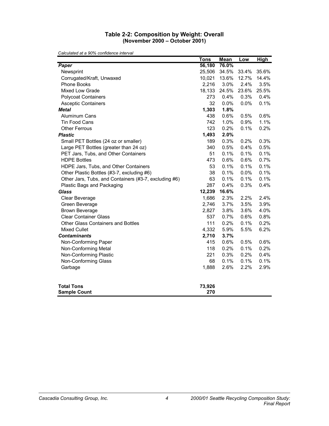#### **Table 2-2: Composition by Weight: Overall (November 2000 – October 2001)**

|                                                       | Tons   | <b>Mean</b> | Low   | <b>High</b> |
|-------------------------------------------------------|--------|-------------|-------|-------------|
| Paper                                                 | 56,180 | 76.0%       |       |             |
| Newsprint                                             | 25,506 | 34.5%       | 33.4% | 35.6%       |
| Corrugated/Kraft, Unwaxed                             | 10,021 | 13.6%       | 12.7% | 14.4%       |
| Phone Books                                           | 2,216  | 3.0%        | 2.4%  | 3.5%        |
| <b>Mixed Low Grade</b>                                | 18,133 | 24.5%       | 23.6% | 25.5%       |
| <b>Polycoat Containers</b>                            | 273    | 0.4%        | 0.3%  | 0.4%        |
| <b>Asceptic Containers</b>                            | 32     | $0.0\%$     | 0.0%  | 0.1%        |
| <b>Metal</b>                                          | 1,303  | 1.8%        |       |             |
| Aluminum Cans                                         | 438    | 0.6%        | 0.5%  | 0.6%        |
| Tin Food Cans                                         | 742    | 1.0%        | 0.9%  | 1.1%        |
| <b>Other Ferrous</b>                                  | 123    | 0.2%        | 0.1%  | 0.2%        |
| <b>Plastic</b>                                        | 1,493  | 2.0%        |       |             |
| Small PET Bottles (24 oz or smaller)                  | 189    | 0.3%        | 0.2%  | 0.3%        |
| Large PET Bottles (greater than 24 oz)                | 340    | 0.5%        | 0.4%  | 0.5%        |
| PET Jars, Tubs, and Other Containers                  | 51     | 0.1%        | 0.1%  | 0.1%        |
| <b>HDPE Bottles</b>                                   | 473    | 0.6%        | 0.6%  | 0.7%        |
| HDPE Jars, Tubs, and Other Containers                 | 53     | 0.1%        | 0.1%  | 0.1%        |
| Other Plastic Bottles (#3-7, excluding #6)            | 38     | 0.1%        | 0.0%  | 0.1%        |
| Other Jars, Tubs, and Containers (#3-7, excluding #6) | 63     | 0.1%        | 0.1%  | 0.1%        |
| Plastic Bags and Packaging                            | 287    | 0.4%        | 0.3%  | 0.4%        |
| <b>Glass</b>                                          | 12,239 | 16.6%       |       |             |
| Clear Beverage                                        | 1,686  | 2.3%        | 2.2%  | 2.4%        |
| Green Beverage                                        | 2,746  | 3.7%        | 3.5%  | 3.9%        |
| <b>Brown Beverage</b>                                 | 2,827  | 3.8%        | 3.6%  | 4.0%        |
| <b>Clear Container Glass</b>                          | 537    | 0.7%        | 0.6%  | 0.8%        |
| Other Glass Containers and Bottles                    | 111    | 0.2%        | 0.1%  | 0.2%        |
| <b>Mixed Cullet</b>                                   | 4,332  | 5.9%        | 5.5%  | 6.2%        |
| <b>Contaminants</b>                                   | 2,710  | 3.7%        |       |             |
| Non-Conforming Paper                                  | 415    | 0.6%        | 0.5%  | 0.6%        |
| Non-Conforming Metal                                  | 118    | 0.2%        | 0.1%  | 0.2%        |
| Non-Conforming Plastic                                | 221    | 0.3%        | 0.2%  | 0.4%        |
| Non-Conforming Glass                                  | 68     | 0.1%        | 0.1%  | 0.1%        |
| Garbage                                               | 1,888  | 2.6%        | 2.2%  | 2.9%        |
| <b>Total Tons</b>                                     | 73,926 |             |       |             |
| <b>Sample Count</b>                                   | 270    |             |       |             |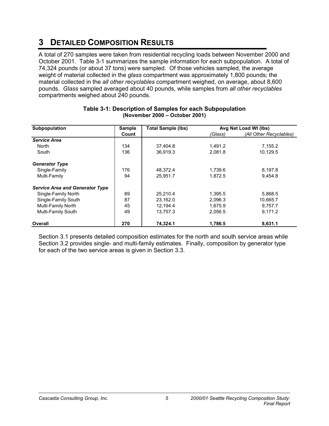# **3 DETAILED COMPOSITION RESULTS**

A total of 270 samples were taken from residential recycling loads between November 2000 and October 2001. Table 3-1 summarizes the sample information for each subpopulation. A total of 74,324 pounds (or about 37 tons) were sampled. Of those vehicles sampled, the average weight of material collected in the *glass* compartment was approximately 1,800 pounds; the material collected in the *all other recyclables* compartment weighed, on average, about 8,600 pounds. *Glass* sampled averaged about 40 pounds, while samples from *all other recyclables*  compartments weighed about 240 pounds.

| Subpopulation                          | <b>Sample</b> | <b>Total Sample (lbs)</b> | Avg Net Load Wt (lbs) |                         |  |
|----------------------------------------|---------------|---------------------------|-----------------------|-------------------------|--|
|                                        | Count         |                           | (Glass)               | (All Other Recyclables) |  |
| <b>Service Area</b>                    |               |                           |                       |                         |  |
| North                                  | 134           | 37,404.8                  | 1,491.2               | 7,155.2                 |  |
| South                                  | 136           | 36.919.3                  | 2,081.8               | 10,129.5                |  |
| <b>Generator Type</b>                  |               |                           |                       |                         |  |
| Single-Family                          | 176           | 48,372.4                  | 1,739.6               | 8,197.8                 |  |
| Multi-Family                           | 94            | 25,951.7                  | 1,872.5               | 9,454.8                 |  |
| <b>Service Area and Generator Type</b> |               |                           |                       |                         |  |
| Single-Family North                    | 89            | 25.210.4                  | 1.395.5               | 5.868.5                 |  |
| Single-Family South                    | 87            | 23,162.0                  | 2,096.3               | 10,665.7                |  |
| Multi-Family North                     | 45            | 12,194.4                  | 1,675.9               | 9.757.7                 |  |
| Multi-Family South                     | 49            | 13,757.3                  | 2,056.5               | 9,171.2                 |  |
| Overall                                | 270           | 74,324.1                  | 1,786.5               | 8,631.1                 |  |

#### **Table 3-1: Description of Samples for each Subpopulation (November 2000 – October 2001)**

Section 3.1 presents detailed composition estimates for the north and south service areas while Section 3.2 provides single- and multi-family estimates. Finally, composition by generator type for each of the two service areas is given in Section 3.3.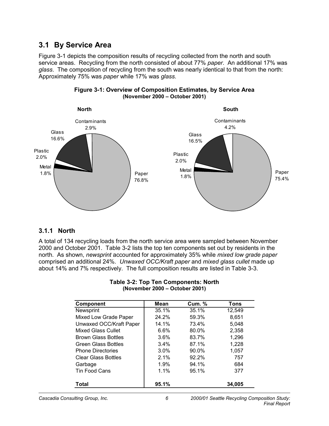### **3.1 By Service Area**

Figure 3-1 depicts the composition results of recycling collected from the north and south service areas. Recycling from the north consisted of about 77% *paper*. An additional 17% was *glass*. The composition of recycling from the south was nearly identical to that from the north: Approximately 75% was *paper* while 17% was *glass*.





### **3.1.1 North**

A total of 134 recycling loads from the north service area were sampled between November 2000 and October 2001. Table 3-2 lists the top ten components set out by residents in the north. As shown, *newsprint* accounted for approximately 35% while *mixed low grade paper* comprised an additional 24%. *Unwaxed OCC/Kraft paper* and *mixed glass cullet* made up about 14% and 7% respectively. The full composition results are listed in Table 3-3.

| <b>Component</b>           | Mean  | <b>Cum. %</b> | Tons   |
|----------------------------|-------|---------------|--------|
| Newsprint                  | 35.1% | 35.1%         | 12,549 |
| Mixed Low Grade Paper      | 24.2% | 59.3%         | 8,651  |
| Unwaxed OCC/Kraft Paper    | 14.1% | 73.4%         | 5,048  |
| Mixed Glass Cullet         | 6.6%  | 80.0%         | 2,358  |
| <b>Brown Glass Bottles</b> | 3.6%  | 83.7%         | 1,296  |
| <b>Green Glass Bottles</b> | 3.4%  | 87.1%         | 1,228  |
| <b>Phone Directories</b>   | 3.0%  | 90.0%         | 1,057  |
| <b>Clear Glass Bottles</b> | 2.1%  | 92.2%         | 757    |
| Garbage                    | 1.9%  | 94.1%         | 684    |
| <b>Tin Food Cans</b>       | 1.1%  | 95.1%         | 377    |
| Total                      | 95.1% |               | 34,005 |

#### **Table 3-2: Top Ten Components: North (November 2000 – October 2001)**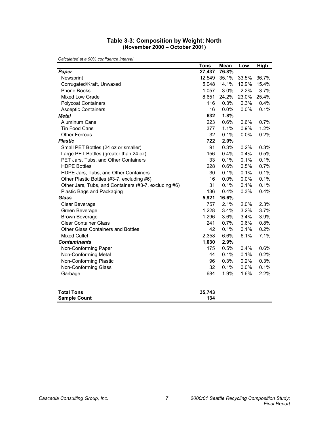#### **Table 3-3: Composition by Weight: North (November 2000 – October 2001)**

|                                                       | <b>Tons</b> | <b>Mean</b> | Low   | <b>High</b> |
|-------------------------------------------------------|-------------|-------------|-------|-------------|
| Paper                                                 | 27,437      | 76.8%       |       |             |
| Newsprint                                             | 12,549      | 35.1%       | 33.5% | 36.7%       |
| Corrugated/Kraft, Unwaxed                             | 5,048       | 14.1%       | 12.9% | 15.4%       |
| Phone Books                                           | 1,057       | 3.0%        | 2.2%  | 3.7%        |
| Mixed Low Grade                                       | 8,651       | 24.2%       | 23.0% | 25.4%       |
| <b>Polycoat Containers</b>                            | 116         | 0.3%        | 0.3%  | 0.4%        |
| <b>Asceptic Containers</b>                            | 16          | 0.0%        | 0.0%  | 0.1%        |
| <b>Metal</b>                                          | 632         | 1.8%        |       |             |
| Aluminum Cans                                         | 223         | 0.6%        | 0.6%  | 0.7%        |
| Tin Food Cans                                         | 377         | 1.1%        | 0.9%  | 1.2%        |
| <b>Other Ferrous</b>                                  | 32          | 0.1%        | 0.0%  | 0.2%        |
| <b>Plastic</b>                                        | 722         | 2.0%        |       |             |
| Small PET Bottles (24 oz or smaller)                  | 91          | 0.3%        | 0.2%  | 0.3%        |
| Large PET Bottles (greater than 24 oz)                | 156         | 0.4%        | 0.4%  | 0.5%        |
| PET Jars, Tubs, and Other Containers                  | 33          | 0.1%        | 0.1%  | 0.1%        |
| <b>HDPE Bottles</b>                                   | 228         | 0.6%        | 0.5%  | 0.7%        |
| HDPE Jars, Tubs, and Other Containers                 | 30          | 0.1%        | 0.1%  | 0.1%        |
| Other Plastic Bottles (#3-7, excluding #6)            | 16          | 0.0%        | 0.0%  | 0.1%        |
| Other Jars, Tubs, and Containers (#3-7, excluding #6) | 31          | 0.1%        | 0.1%  | 0.1%        |
| Plastic Bags and Packaging                            | 136         | 0.4%        | 0.3%  | 0.4%        |
| <b>Glass</b>                                          | 5,921       | 16.6%       |       |             |
| Clear Beverage                                        | 757         | 2.1%        | 2.0%  | 2.3%        |
| Green Beverage                                        | 1,228       | 3.4%        | 3.2%  | 3.7%        |
| <b>Brown Beverage</b>                                 | 1,296       | 3.6%        | 3.4%  | 3.9%        |
| <b>Clear Container Glass</b>                          | 241         | 0.7%        | 0.6%  | 0.8%        |
| Other Glass Containers and Bottles                    | 42          | 0.1%        | 0.1%  | 0.2%        |
| <b>Mixed Cullet</b>                                   | 2,358       | 6.6%        | 6.1%  | 7.1%        |
| <b>Contaminants</b>                                   | 1,030       | 2.9%        |       |             |
| Non-Conforming Paper                                  | 175         | 0.5%        | 0.4%  | 0.6%        |
| Non-Conforming Metal                                  | 44          | 0.1%        | 0.1%  | 0.2%        |
| Non-Conforming Plastic                                | 96          | 0.3%        | 0.2%  | 0.3%        |
| Non-Conforming Glass                                  | 32          | 0.1%        | 0.0%  | 0.1%        |
| Garbage                                               | 684         | 1.9%        | 1.6%  | 2.2%        |
| <b>Total Tons</b>                                     | 35,743      |             |       |             |
| <b>Sample Count</b>                                   | 134         |             |       |             |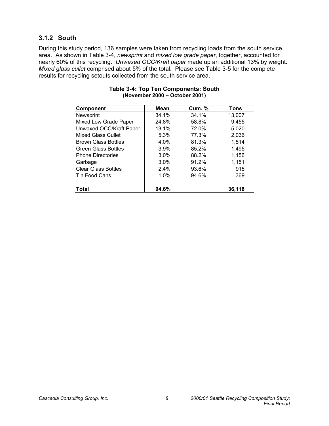### **3.1.2 South**

During this study period, 136 samples were taken from recycling loads from the south service area. As shown in Table 3-4, *newsprint* and *mixed low grade paper*, together, accounted for nearly 60% of this recycling. *Unwaxed OCC/Kraft paper* made up an additional 13% by weight. *Mixed glass cullet* comprised about 5% of the total. Please see Table 3-5 for the complete results for recycling setouts collected from the south service area.

| <b>Component</b>           | Mean    | <b>Cum. %</b> | Tons   |
|----------------------------|---------|---------------|--------|
| Newsprint                  | 34.1%   | 34.1%         | 13,007 |
| Mixed Low Grade Paper      | 24.8%   | 58.8%         | 9,455  |
| Unwaxed OCC/Kraft Paper    | 13.1%   | 72.0%         | 5,020  |
| <b>Mixed Glass Cullet</b>  | 5.3%    | 77.3%         | 2,036  |
| <b>Brown Glass Bottles</b> | 4.0%    | 81.3%         | 1,514  |
| <b>Green Glass Bottles</b> | 3.9%    | 85.2%         | 1,495  |
| <b>Phone Directories</b>   | $3.0\%$ | 88.2%         | 1,156  |
| Garbage                    | 3.0%    | 91.2%         | 1,151  |
| <b>Clear Glass Bottles</b> | 2.4%    | 93.6%         | 915    |
| Tin Food Cans              | 1.0%    | 94.6%         | 369    |
| Total                      | 94.6%   |               | 36,118 |

#### **Table 3-4: Top Ten Components: South (November 2000 – October 2001)**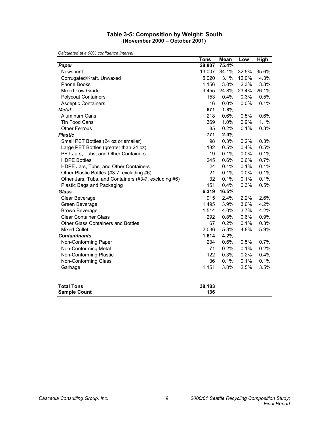#### **Table 3-5: Composition by Weight: South (November 2000 – October 2001)**

|                                                       | <b>Tons</b>   | <b>Mean</b> | Low   | <u>High</u> |
|-------------------------------------------------------|---------------|-------------|-------|-------------|
| Paper                                                 | 28,807        | 75.4%       |       |             |
| Newsprint                                             | 13,007        | 34.1%       | 32.5% | 35.6%       |
| Corrugated/Kraft, Unwaxed                             | 5,020         | 13.1%       | 12.0% | 14.3%       |
| Phone Books                                           | 1,156         | 3.0%        | 2.3%  | 3.8%        |
| Mixed Low Grade                                       | 9,455         | 24.8%       | 23.4% | 26.1%       |
| <b>Polycoat Containers</b>                            | 153           | 0.4%        | 0.3%  | 0.5%        |
| <b>Asceptic Containers</b>                            | 16            | 0.0%        | 0.0%  | 0.1%        |
| <b>Metal</b>                                          | 671           | 1.8%        |       |             |
| <b>Aluminum Cans</b>                                  | 218           | 0.6%        | 0.5%  | 0.6%        |
| Tin Food Cans                                         | 369           | 1.0%        | 0.9%  | 1.1%        |
| <b>Other Ferrous</b>                                  | 85            | 0.2%        | 0.1%  | 0.3%        |
| <b>Plastic</b>                                        | 771           | 2.0%        |       |             |
| Small PET Bottles (24 oz or smaller)                  | 98            | 0.3%        | 0.2%  | 0.3%        |
| Large PET Bottles (greater than 24 oz)                | 182           | 0.5%        | 0.4%  | 0.5%        |
| PET Jars, Tubs, and Other Containers                  | 19            | 0.1%        | 0.0%  | 0.1%        |
| <b>HDPE Bottles</b>                                   | 245           | 0.6%        | 0.6%  | 0.7%        |
| HDPE Jars, Tubs, and Other Containers                 | 24            | 0.1%        | 0.1%  | 0.1%        |
| Other Plastic Bottles (#3-7, excluding #6)            | 21            | 0.1%        | 0.0%  | 0.1%        |
| Other Jars, Tubs, and Containers (#3-7, excluding #6) | 32            | 0.1%        | 0.1%  | 0.1%        |
| Plastic Bags and Packaging                            | 151           | 0.4%        | 0.3%  | 0.5%        |
| <b>Glass</b>                                          | 6,319         | 16.5%       |       |             |
| Clear Beverage                                        | 915           | 2.4%        | 2.2%  | 2.6%        |
| Green Beverage                                        | 1,495         | 3.9%        | 3.6%  | 4.2%        |
| <b>Brown Beverage</b>                                 | 1,514         | 4.0%        | 3.7%  | 4.2%        |
| <b>Clear Container Glass</b>                          | 292           | 0.8%        | 0.6%  | 0.9%        |
| Other Glass Containers and Bottles                    | 67            | 0.2%        | 0.1%  | 0.3%        |
| <b>Mixed Cullet</b>                                   | 2,036         | 5.3%        | 4.8%  | 5.9%        |
| <b>Contaminants</b>                                   | 1,614         | 4.2%        |       |             |
| Non-Conforming Paper                                  | 234           | 0.6%        | 0.5%  | 0.7%        |
| Non-Conforming Metal                                  | 71            | 0.2%        | 0.1%  | 0.2%        |
| Non-Conforming Plastic                                | 122           | 0.3%        | 0.2%  | 0.4%        |
| Non-Conforming Glass                                  | 36            | 0.1%        | 0.1%  | 0.1%        |
| Garbage                                               | 1,151         | 3.0%        | 2.5%  | 3.5%        |
| <b>Total Tons</b><br><b>Sample Count</b>              | 38,183<br>136 |             |       |             |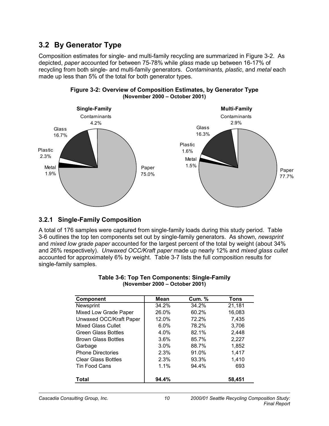### **3.2 By Generator Type**

Composition estimates for single- and multi-family recycling are summarized in Figure 3-2. As depicted, *paper* accounted for between 75-78% while *glass* made up between 16-17% of recycling from both single- and multi-family generators. *Contaminants, plastic*, and *metal* each made up less than 5% of the total for both generator types.





### **3.2.1 Single-Family Composition**

A total of 176 samples were captured from single-family loads during this study period. Table 3-6 outlines the top ten components set out by single-family generators. As shown, *newsprint* and *mixed low grade paper* accounted for the largest percent of the total by weight (about 34% and 26% respectively). *Unwaxed OCC/Kraft paper* made up nearly 12% and *mixed glass cullet* accounted for approximately 6% by weight. Table 3-7 lists the full composition results for single-family samples.

| <b>Component</b>           | Mean    | <b>Cum.</b> % | Tons   |
|----------------------------|---------|---------------|--------|
| Newsprint                  | 34.2%   | 34.2%         | 21,181 |
| Mixed Low Grade Paper      | 26.0%   | 60.2%         | 16,083 |
| Unwaxed OCC/Kraft Paper    | 12.0%   | 72.2%         | 7,435  |
| Mixed Glass Cullet         | $6.0\%$ | 78.2%         | 3,706  |
| <b>Green Glass Bottles</b> | 4.0%    | 82.1%         | 2,448  |
| <b>Brown Glass Bottles</b> | 3.6%    | 85.7%         | 2,227  |
| Garbage                    | 3.0%    | 88.7%         | 1,852  |
| <b>Phone Directories</b>   | 2.3%    | 91.0%         | 1,417  |
| <b>Clear Glass Bottles</b> | 2.3%    | 93.3%         | 1.410  |
| Tin Food Cans              | 1.1%    | 94.4%         | 693    |
|                            |         |               |        |
| Total                      | 94.4%   |               | 58,451 |

#### **Table 3-6: Top Ten Components: Single-Family (November 2000 – October 2001)**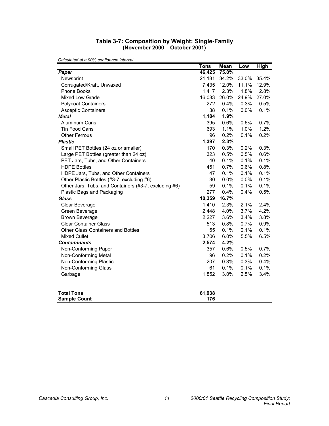#### **Table 3-7: Composition by Weight: Single-Family (November 2000 – October 2001)**

|                                                       | <b>Tons</b> | <b>Mean</b> | Low   | <u>High</u> |
|-------------------------------------------------------|-------------|-------------|-------|-------------|
| Paper                                                 | 46,425      | 75.0%       |       |             |
| Newsprint                                             | 21,181      | 34.2%       | 33.0% | 35.4%       |
| Corrugated/Kraft, Unwaxed                             | 7,435       | 12.0%       | 11.1% | 12.9%       |
| Phone Books                                           | 1,417       | 2.3%        | 1.8%  | 2.8%        |
| <b>Mixed Low Grade</b>                                | 16,083      | 26.0%       | 24.9% | 27.0%       |
| <b>Polycoat Containers</b>                            | 272         | 0.4%        | 0.3%  | 0.5%        |
| <b>Asceptic Containers</b>                            | 38          | 0.1%        | 0.0%  | 0.1%        |
| <b>Metal</b>                                          | 1,184       | 1.9%        |       |             |
| Aluminum Cans                                         | 395         | 0.6%        | 0.6%  | 0.7%        |
| Tin Food Cans                                         | 693         | 1.1%        | 1.0%  | 1.2%        |
| <b>Other Ferrous</b>                                  | 96          | 0.2%        | 0.1%  | 0.2%        |
| <b>Plastic</b>                                        | 1,397       | 2.3%        |       |             |
| Small PET Bottles (24 oz or smaller)                  | 170         | 0.3%        | 0.2%  | 0.3%        |
| Large PET Bottles (greater than 24 oz)                | 323         | 0.5%        | 0.5%  | 0.6%        |
| PET Jars, Tubs, and Other Containers                  | 40          | 0.1%        | 0.1%  | 0.1%        |
| <b>HDPE Bottles</b>                                   | 451         | 0.7%        | 0.6%  | 0.8%        |
| HDPE Jars, Tubs, and Other Containers                 | 47          | 0.1%        | 0.1%  | 0.1%        |
| Other Plastic Bottles (#3-7, excluding #6)            | 30          | 0.0%        | 0.0%  | 0.1%        |
| Other Jars, Tubs, and Containers (#3-7, excluding #6) | 59          | 0.1%        | 0.1%  | 0.1%        |
| Plastic Bags and Packaging                            | 277         | 0.4%        | 0.4%  | 0.5%        |
| <b>Glass</b>                                          | 10,359      | 16.7%       |       |             |
| Clear Beverage                                        | 1,410       | 2.3%        | 2.1%  | 2.4%        |
| Green Beverage                                        | 2,448       | 4.0%        | 3.7%  | 4.2%        |
| <b>Brown Beverage</b>                                 | 2,227       | 3.6%        | 3.4%  | 3.8%        |
| <b>Clear Container Glass</b>                          | 513         | 0.8%        | 0.7%  | 0.9%        |
| Other Glass Containers and Bottles                    | 55          | 0.1%        | 0.1%  | 0.1%        |
| <b>Mixed Cullet</b>                                   | 3,706       | 6.0%        | 5.5%  | 6.5%        |
| <b>Contaminants</b>                                   | 2,574       | 4.2%        |       |             |
| Non-Conforming Paper                                  | 357         | 0.6%        | 0.5%  | 0.7%        |
| Non-Conforming Metal                                  | 96          | 0.2%        | 0.1%  | 0.2%        |
| Non-Conforming Plastic                                | 207         | 0.3%        | 0.3%  | 0.4%        |
| Non-Conforming Glass                                  | 61          | 0.1%        | 0.1%  | 0.1%        |
| Garbage                                               | 1,852       | 3.0%        | 2.5%  | 3.4%        |
| <b>Total Tons</b>                                     | 61,938      |             |       |             |
| <b>Sample Count</b>                                   | 176         |             |       |             |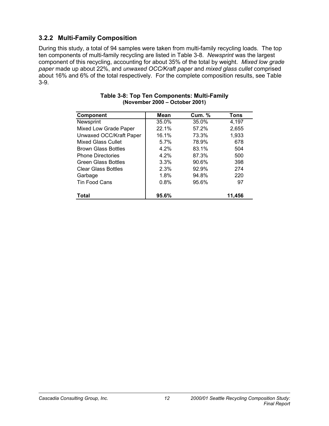### **3.2.2 Multi-Family Composition**

During this study, a total of 94 samples were taken from multi-family recycling loads. The top ten components of multi-family recycling are listed in Table 3-8. *Newsprint* was the largest component of this recycling, accounting for about 35% of the total by weight. *Mixed low grade paper* made up about 22%, and *unwaxed OCC/Kraft paper* and *mixed glass cullet* comprised about 16% and 6% of the total respectively. For the complete composition results, see Table 3-9.

| <b>Component</b>           | Mean  | <b>Cum. %</b> | Tons   |
|----------------------------|-------|---------------|--------|
| Newsprint                  | 35.0% | 35.0%         | 4,197  |
| Mixed Low Grade Paper      | 22.1% | 57.2%         | 2,655  |
| Unwaxed OCC/Kraft Paper    | 16.1% | 73.3%         | 1,933  |
| Mixed Glass Cullet         | 5.7%  | 78.9%         | 678    |
| <b>Brown Glass Bottles</b> | 4.2%  | 83.1%         | 504    |
| <b>Phone Directories</b>   | 4.2%  | 87.3%         | 500    |
| <b>Green Glass Bottles</b> | 3.3%  | 90.6%         | 398    |
| <b>Clear Glass Bottles</b> | 2.3%  | 92.9%         | 274    |
| Garbage                    | 1.8%  | 94.8%         | 220    |
| Tin Food Cans              | 0.8%  | 95.6%         | 97     |
| <b>Total</b>               | 95.6% |               | 11,456 |

#### **Table 3-8: Top Ten Components: Multi-Family (November 2000 – October 2001)**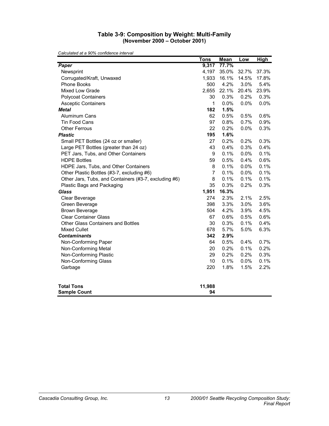#### **Table 3-9: Composition by Weight: Multi-Family (November 2000 – October 2001)**

|                                                       | Tons           | <b>Mean</b> | Low   | <b>High</b> |
|-------------------------------------------------------|----------------|-------------|-------|-------------|
| Paper                                                 | 9,317          | 77.7%       |       |             |
| Newsprint                                             | 4,197          | 35.0%       | 32.7% | 37.3%       |
| Corrugated/Kraft, Unwaxed                             | 1,933          | 16.1%       | 14.5% | 17.8%       |
| Phone Books                                           | 500            | 4.2%        | 3.0%  | 5.4%        |
| Mixed Low Grade                                       | 2,655          | 22.1%       | 20.4% | 23.9%       |
| <b>Polycoat Containers</b>                            | 30             | 0.3%        | 0.2%  | 0.3%        |
| <b>Asceptic Containers</b>                            | 1              | 0.0%        | 0.0%  | 0.0%        |
| <b>Metal</b>                                          | 182            | 1.5%        |       |             |
| <b>Aluminum Cans</b>                                  | 62             | 0.5%        | 0.5%  | 0.6%        |
| <b>Tin Food Cans</b>                                  | 97             | 0.8%        | 0.7%  | 0.9%        |
| <b>Other Ferrous</b>                                  | 22             | 0.2%        | 0.0%  | 0.3%        |
| <b>Plastic</b>                                        | 195            | 1.6%        |       |             |
| Small PET Bottles (24 oz or smaller)                  | 27             | 0.2%        | 0.2%  | 0.3%        |
| Large PET Bottles (greater than 24 oz)                | 43             | 0.4%        | 0.3%  | 0.4%        |
| PET Jars, Tubs, and Other Containers                  | 9              | 0.1%        | 0.0%  | 0.1%        |
| <b>HDPE Bottles</b>                                   | 59             | 0.5%        | 0.4%  | 0.6%        |
| HDPE Jars, Tubs, and Other Containers                 | 8              | 0.1%        | 0.0%  | 0.1%        |
| Other Plastic Bottles (#3-7, excluding #6)            | $\overline{7}$ | 0.1%        | 0.0%  | 0.1%        |
| Other Jars, Tubs, and Containers (#3-7, excluding #6) | 8              | 0.1%        | 0.1%  | 0.1%        |
| Plastic Bags and Packaging                            | 35             | 0.3%        | 0.2%  | 0.3%        |
| <b>Glass</b>                                          | 1,951          | 16.3%       |       |             |
| Clear Beverage                                        | 274            | 2.3%        | 2.1%  | 2.5%        |
| Green Beverage                                        | 398            | 3.3%        | 3.0%  | 3.6%        |
| <b>Brown Beverage</b>                                 | 504            | 4.2%        | 3.9%  | 4.5%        |
| <b>Clear Container Glass</b>                          | 67             | 0.6%        | 0.5%  | 0.6%        |
| Other Glass Containers and Bottles                    | 30             | 0.3%        | 0.1%  | 0.4%        |
| <b>Mixed Cullet</b>                                   | 678            | 5.7%        | 5.0%  | 6.3%        |
| <b>Contaminants</b>                                   | 342            | 2.9%        |       |             |
| Non-Conforming Paper                                  | 64             | 0.5%        | 0.4%  | 0.7%        |
| Non-Conforming Metal                                  | 20             | 0.2%        | 0.1%  | 0.2%        |
| Non-Conforming Plastic                                | 29             | 0.2%        | 0.2%  | 0.3%        |
| Non-Conforming Glass                                  | 10             | 0.1%        | 0.0%  | 0.1%        |
| Garbage                                               | 220            | 1.8%        | 1.5%  | 2.2%        |
| <b>Total Tons</b><br><b>Sample Count</b>              | 11,988<br>94   |             |       |             |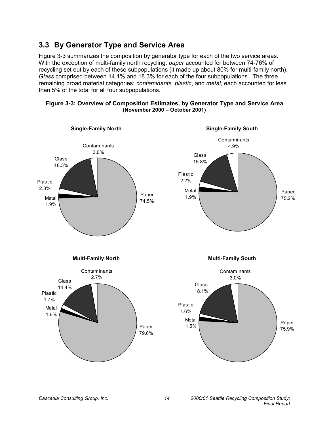### **3.3 By Generator Type and Service Area**

Figure 3-3 summarizes the composition by generator type for each of the two service areas. With the exception of multi-family north recycling, *paper* accounted for between 74-76% of recycling set out by each of these subpopulations (it made up about 80% for multi-family north). *Glass* comprised between 14.1% and 18.3% for each of the four subpopulations. The three remaining broad material categories: *contaminants, plastic*, and *metal*, each accounted for less than 5% of the total for all four subpopulations.

#### **Figure 3-3: Overview of Composition Estimates, by Generator Type and Service Area (November 2000 – October 2001)**

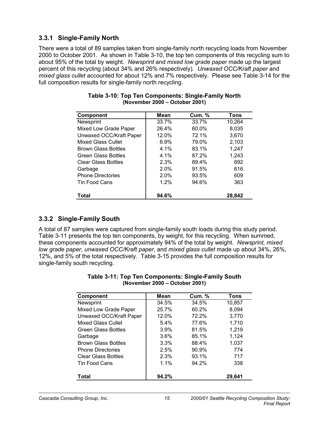### **3.3.1 Single-Family North**

There were a total of 89 samples taken from single-family north recycling loads from November 2000 to October 2001. As shown in Table 3-10, the top ten components of this recycling sum to about 95% of the total by weight. *Newsprint* and *mixed low grade paper* made up the largest percent of this recycling (about 34% and 26% respectively). *Unwaxed OCC/Kraft paper* and *mixed glass cullet* accounted for about 12% and 7% respectively. Please see Table 3-14 for the full composition results for single-family north recycling.

| <b>Component</b>           | Mean  | <b>Cum. %</b> | Tons   |
|----------------------------|-------|---------------|--------|
| Newsprint                  | 33.7% | 33.7%         | 10,264 |
| Mixed Low Grade Paper      | 26.4% | 60.0%         | 8,035  |
| Unwaxed OCC/Kraft Paper    | 12.0% | 72.1%         | 3,670  |
| Mixed Glass Cullet         | 6.9%  | 79.0%         | 2,103  |
| <b>Brown Glass Bottles</b> | 4.1%  | 83.1%         | 1,247  |
| <b>Green Glass Bottles</b> | 4.1%  | 87.2%         | 1,243  |
| <b>Clear Glass Bottles</b> | 2.3%  | 89.4%         | 692    |
| Garbage                    | 2.0%  | 91.5%         | 616    |
| <b>Phone Directories</b>   | 2.0%  | 93.5%         | 609    |
| Tin Food Cans              | 1.2%  | 94.6%         | 363    |
| Total                      | 94.6% |               | 28,842 |

#### **Table 3-10: Top Ten Components: Single-Family North (November 2000 – October 2001)**

### **3.3.2 Single-Family South**

A total of 87 samples were captured from single-family south loads during this study period. Table 3-11 presents the top ten components, by weight, for this recycling. When summed, these components accounted for approximately 94% of the total by weight. *Newsprint, mixed low grade paper*, *unwaxed OCC/Kraft paper*, and *mixed glass cullet* made up about 34%, 26%, 12%, and 5% of the total respectively. Table 3-15 provides the full composition results for single-family south recycling.

| <b>Component</b>           | Mean  | <b>Cum. %</b> | <b>Tons</b> |
|----------------------------|-------|---------------|-------------|
| Newsprint                  | 34.5% | 34.5%         | 10,857      |
| Mixed Low Grade Paper      | 25.7% | 60.2%         | 8,094       |
| Unwaxed OCC/Kraft Paper    | 12.0% | 72.2%         | 3,770       |
| <b>Mixed Glass Cullet</b>  | 5.4%  | 77.6%         | 1,710       |
| Green Glass Bottles        | 3.9%  | 81.5%         | 1,219       |
| Garbage                    | 3.6%  | 85.1%         | 1,124       |
| <b>Brown Glass Bottles</b> | 3.3%  | 88.4%         | 1,037       |
| <b>Phone Directories</b>   | 2.5%  | 90.9%         | 774         |
| <b>Clear Glass Bottles</b> | 2.3%  | 93.1%         | 717         |
| <b>Tin Food Cans</b>       | 1.1%  | 94.2%         | 338         |
| Total                      | 94.2% |               | 29,641      |

### **Table 3-11: Top Ten Components: Single-Family South (November 2000 – October 2001)**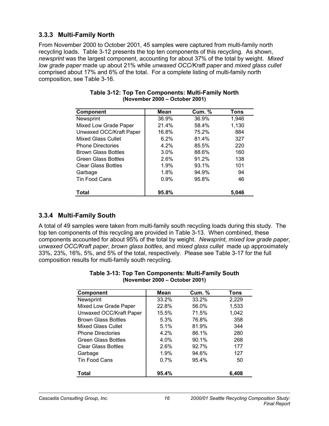### **3.3.3 Multi-Family North**

From November 2000 to October 2001, 45 samples were captured from multi-family north recycling loads. Table 3-12 presents the top ten components of this recycling. As shown, *newsprint* was the largest component, accounting for about 37% of the total by weight. *Mixed low grade paper* made up about 21% while *unwaxed OCC/Kraft paper* and *mixed glass cullet* comprised about 17% and 6% of the total. For a complete listing of multi-family north composition, see Table 3-16.

| <b>Component</b>           | Mean  | <b>Cum. %</b> | Tons  |
|----------------------------|-------|---------------|-------|
| Newsprint                  | 36.9% | 36.9%         | 1,946 |
| Mixed Low Grade Paper      | 21.4% | 58.4%         | 1,130 |
| Unwaxed OCC/Kraft Paper    | 16.8% | 75.2%         | 884   |
| Mixed Glass Cullet         | 6.2%  | 81.4%         | 327   |
| <b>Phone Directories</b>   | 4.2%  | 85.5%         | 220   |
| <b>Brown Glass Bottles</b> | 3.0%  | 88.6%         | 160   |
| <b>Green Glass Bottles</b> | 2.6%  | 91.2%         | 138   |
| <b>Clear Glass Bottles</b> | 1.9%  | 93.1%         | 101   |
| Garbage                    | 1.8%  | 94.9%         | 94    |
| <b>Tin Food Cans</b>       | 0.9%  | 95.8%         | 46    |
| Total                      | 95.8% |               | 5.046 |

| Table 3-12: Top Ten Components: Multi-Family North |
|----------------------------------------------------|
| (November 2000 – October 2001)                     |

### **3.3.4 Multi-Family South**

A total of 49 samples were taken from multi-family south recycling loads during this study. The top ten components of this recycling are provided in Table 3-13. When combined, these components accounted for about 95% of the total by weight. *Newsprint*, *mixed low grade paper*, *unwaxed OCC/Kraft paper*, *brown glass bottles*, and *mixed glass cullet* made up approximately 33%, 23%, 16%, 5%, and 5% of the total, respectively. Please see Table 3-17 for the full composition results for multi-family south recycling.

| <b>Component</b>           | Mean  | <b>Cum. %</b> | Tons  |
|----------------------------|-------|---------------|-------|
| Newsprint                  | 33.2% | 33.2%         | 2,229 |
| Mixed Low Grade Paper      | 22.8% | 56.0%         | 1,533 |
| Unwaxed OCC/Kraft Paper    | 15.5% | 71.5%         | 1,042 |
| <b>Brown Glass Bottles</b> | 5.3%  | 76.8%         | 358   |
| Mixed Glass Cullet         | 5.1%  | 81.9%         | 344   |
| <b>Phone Directories</b>   | 4.2%  | 86.1%         | 280   |
| <b>Green Glass Bottles</b> | 4.0%  | 90.1%         | 268   |
| <b>Clear Glass Bottles</b> | 2.6%  | 92.7%         | 177   |
| Garbage                    | 1.9%  | 94.6%         | 127   |
| <b>Tin Food Cans</b>       | 0.7%  | 95.4%         | 50    |
| Total                      | 95.4% |               | 6,408 |

| Table 3-13: Top Ten Components: Multi-Family South |
|----------------------------------------------------|
| (November 2000 – October 2001)                     |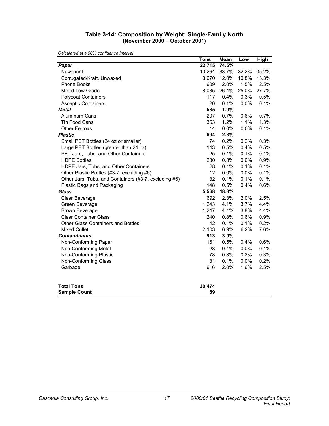#### **Table 3-14: Composition by Weight: Single-Family North (November 2000 – October 2001)**

|                                                       | <b>Tons</b> | <b>Mean</b> | Low   | <b>High</b> |
|-------------------------------------------------------|-------------|-------------|-------|-------------|
| Paper                                                 | 22,715      | 74.5%       |       |             |
| Newsprint                                             | 10,264      | 33.7%       | 32.2% | 35.2%       |
| Corrugated/Kraft, Unwaxed                             | 3,670       | 12.0%       | 10.8% | 13.3%       |
| <b>Phone Books</b>                                    | 609         | 2.0%        | 1.5%  | 2.5%        |
| Mixed Low Grade                                       | 8,035       | 26.4%       | 25.0% | 27.7%       |
| <b>Polycoat Containers</b>                            | 117         | 0.4%        | 0.3%  | 0.5%        |
| <b>Asceptic Containers</b>                            | 20          | 0.1%        | 0.0%  | 0.1%        |
| <b>Metal</b>                                          | 585         | 1.9%        |       |             |
| Aluminum Cans                                         | 207         | 0.7%        | 0.6%  | 0.7%        |
| <b>Tin Food Cans</b>                                  | 363         | 1.2%        | 1.1%  | 1.3%        |
| <b>Other Ferrous</b>                                  | 14          | 0.0%        | 0.0%  | 0.1%        |
| <b>Plastic</b>                                        | 694         | 2.3%        |       |             |
| Small PET Bottles (24 oz or smaller)                  | 74          | 0.2%        | 0.2%  | 0.3%        |
| Large PET Bottles (greater than 24 oz)                | 143         | 0.5%        | 0.4%  | 0.5%        |
| PET Jars, Tubs, and Other Containers                  | 25          | 0.1%        | 0.1%  | 0.1%        |
| <b>HDPE Bottles</b>                                   | 230         | 0.8%        | 0.6%  | 0.9%        |
| HDPE Jars, Tubs, and Other Containers                 | 28          | 0.1%        | 0.1%  | 0.1%        |
| Other Plastic Bottles (#3-7, excluding #6)            | 12          | 0.0%        | 0.0%  | 0.1%        |
| Other Jars, Tubs, and Containers (#3-7, excluding #6) | 32          | 0.1%        | 0.1%  | 0.1%        |
| Plastic Bags and Packaging                            | 148         | 0.5%        | 0.4%  | 0.6%        |
| <b>Glass</b>                                          | 5,568       | 18.3%       |       |             |
| Clear Beverage                                        | 692         | 2.3%        | 2.0%  | 2.5%        |
| Green Beverage                                        | 1,243       | 4.1%        | 3.7%  | 4.4%        |
| <b>Brown Beverage</b>                                 | 1,247       | 4.1%        | 3.8%  | 4.4%        |
| <b>Clear Container Glass</b>                          | 240         | 0.8%        | 0.6%  | 0.9%        |
| Other Glass Containers and Bottles                    | 42          | 0.1%        | 0.1%  | 0.2%        |
| <b>Mixed Cullet</b>                                   | 2,103       | 6.9%        | 6.2%  | 7.6%        |
| <b>Contaminants</b>                                   | 913         | 3.0%        |       |             |
| Non-Conforming Paper                                  | 161         | 0.5%        | 0.4%  | 0.6%        |
| Non-Conforming Metal                                  | 28          | 0.1%        | 0.0%  | 0.1%        |
| Non-Conforming Plastic                                | 78          | 0.3%        | 0.2%  | 0.3%        |
| Non-Conforming Glass                                  | 31          | 0.1%        | 0.0%  | 0.2%        |
| Garbage                                               | 616         | 2.0%        | 1.6%  | 2.5%        |
| <b>Total Tons</b>                                     | 30,474      |             |       |             |
| <b>Sample Count</b>                                   | 89          |             |       |             |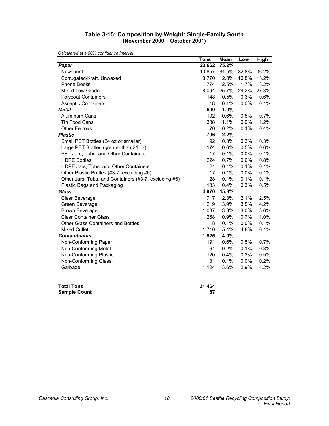#### **Table 3-15: Composition by Weight: Single-Family South (November 2000 – October 2001)**

|                                                       | <b>Tons</b>  | <b>Mean</b> | Low   | <b>High</b> |
|-------------------------------------------------------|--------------|-------------|-------|-------------|
| Paper                                                 | 23,662       | 75.2%       |       |             |
| Newsprint                                             | 10,857       | 34.5%       | 32.8% | 36.2%       |
| Corrugated/Kraft, Unwaxed                             | 3,770        | 12.0%       | 10.8% | 13.2%       |
| Phone Books                                           | 774          | 2.5%        | 1.7%  | 3.2%        |
| Mixed Low Grade                                       | 8,094        | 25.7%       | 24.2% | 27.3%       |
| <b>Polycoat Containers</b>                            | 148          | 0.5%        | 0.3%  | 0.6%        |
| <b>Asceptic Containers</b>                            | 18           | 0.1%        | 0.0%  | 0.1%        |
| <b>Metal</b>                                          | 600          | 1.9%        |       |             |
| <b>Aluminum Cans</b>                                  | 192          | 0.6%        | 0.5%  | 0.7%        |
| Tin Food Cans                                         | 338          | 1.1%        | 0.9%  | 1.2%        |
| <b>Other Ferrous</b>                                  | 70           | 0.2%        | 0.1%  | 0.4%        |
| <b>Plastic</b>                                        | 706          | 2.2%        |       |             |
| Small PET Bottles (24 oz or smaller)                  | 92           | 0.3%        | 0.3%  | 0.3%        |
| Large PET Bottles (greater than 24 oz)                | 174          | 0.6%        | 0.5%  | 0.6%        |
| PET Jars, Tubs, and Other Containers                  | 17           | 0.1%        | 0.0%  | 0.1%        |
| <b>HDPE Bottles</b>                                   | 224          | 0.7%        | 0.6%  | 0.8%        |
| HDPE Jars, Tubs, and Other Containers                 | 21           | 0.1%        | 0.1%  | 0.1%        |
| Other Plastic Bottles (#3-7, excluding #6)            | 17           | 0.1%        | 0.0%  | 0.1%        |
| Other Jars, Tubs, and Containers (#3-7, excluding #6) | 28           | 0.1%        | 0.1%  | 0.1%        |
| Plastic Bags and Packaging                            | 133          | 0.4%        | 0.3%  | 0.5%        |
| <b>Glass</b>                                          | 4,970        | 15.8%       |       |             |
| Clear Beverage                                        | 717          | 2.3%        | 2.1%  | 2.5%        |
| Green Beverage                                        | 1,219        | 3.9%        | 3.5%  | 4.2%        |
| <b>Brown Beverage</b>                                 | 1,037        | 3.3%        | 3.0%  | 3.6%        |
| <b>Clear Container Glass</b>                          | 268          | 0.9%        | 0.7%  | 1.0%        |
| Other Glass Containers and Bottles                    | 18           | 0.1%        | 0.0%  | 0.1%        |
| <b>Mixed Cullet</b>                                   | 1,710        | 5.4%        | 4.8%  | 6.1%        |
| <b>Contaminants</b>                                   | 1,526        | 4.9%        |       |             |
| Non-Conforming Paper                                  | 191          | 0.6%        | 0.5%  | 0.7%        |
| Non-Conforming Metal                                  | 61           | 0.2%        | 0.1%  | 0.3%        |
| Non-Conforming Plastic                                | 120          | 0.4%        | 0.3%  | 0.5%        |
| Non-Conforming Glass                                  | 31           | 0.1%        | 0.0%  | 0.2%        |
| Garbage                                               | 1,124        | 3.6%        | 2.9%  | 4.2%        |
| <b>Total Tons</b><br><b>Sample Count</b>              | 31,464<br>87 |             |       |             |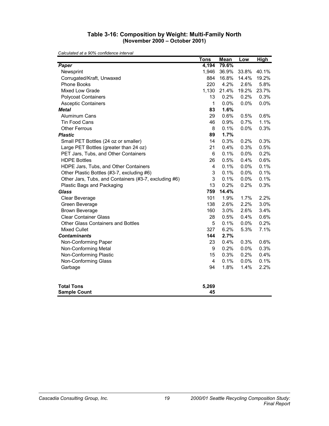#### **Table 3-16: Composition by Weight: Multi-Family North (November 2000 – October 2001)**

|                                                       | <b>Tons</b>    | <b>Mean</b> | Low   | <b>High</b> |
|-------------------------------------------------------|----------------|-------------|-------|-------------|
| Paper                                                 | 4,194          | 79.6%       |       |             |
| Newsprint                                             | 1,946          | 36.9%       | 33.8% | 40.1%       |
| Corrugated/Kraft, Unwaxed                             | 884            | 16.8%       | 14.4% | 19.2%       |
| Phone Books                                           | 220            | 4.2%        | 2.6%  | 5.8%        |
| <b>Mixed Low Grade</b>                                | 1,130          | 21.4%       | 19.2% | 23.7%       |
| <b>Polycoat Containers</b>                            | 13             | 0.2%        | 0.2%  | 0.3%        |
| <b>Asceptic Containers</b>                            | 1              | 0.0%        | 0.0%  | 0.0%        |
| <b>Metal</b>                                          | 83             | 1.6%        |       |             |
| <b>Aluminum Cans</b>                                  | 29             | 0.6%        | 0.5%  | 0.6%        |
| <b>Tin Food Cans</b>                                  | 46             | 0.9%        | 0.7%  | 1.1%        |
| <b>Other Ferrous</b>                                  | 8              | 0.1%        | 0.0%  | 0.3%        |
| <b>Plastic</b>                                        | 89             | 1.7%        |       |             |
| Small PET Bottles (24 oz or smaller)                  | 14             | 0.3%        | 0.2%  | 0.3%        |
| Large PET Bottles (greater than 24 oz)                | 21             | 0.4%        | 0.3%  | 0.5%        |
| PET Jars, Tubs, and Other Containers                  | 6              | 0.1%        | 0.0%  | 0.2%        |
| <b>HDPE Bottles</b>                                   | 26             | 0.5%        | 0.4%  | 0.6%        |
| HDPE Jars, Tubs, and Other Containers                 | 4              | 0.1%        | 0.0%  | 0.1%        |
| Other Plastic Bottles (#3-7, excluding #6)            | 3              | 0.1%        | 0.0%  | 0.1%        |
| Other Jars, Tubs, and Containers (#3-7, excluding #6) | 3              | 0.1%        | 0.0%  | 0.1%        |
| Plastic Bags and Packaging                            | 13             | 0.2%        | 0.2%  | 0.3%        |
| <b>Glass</b>                                          | 759            | 14.4%       |       |             |
| Clear Beverage                                        | 101            | 1.9%        | 1.7%  | 2.2%        |
| Green Beverage                                        | 138            | 2.6%        | 2.2%  | 3.0%        |
| <b>Brown Beverage</b>                                 | 160            | 3.0%        | 2.6%  | 3.4%        |
| <b>Clear Container Glass</b>                          | 28             | 0.5%        | 0.4%  | 0.6%        |
| <b>Other Glass Containers and Bottles</b>             | 5              | 0.1%        | 0.0%  | 0.2%        |
| <b>Mixed Cullet</b>                                   | 327            | 6.2%        | 5.3%  | 7.1%        |
| <b>Contaminants</b>                                   | 144            | 2.7%        |       |             |
| Non-Conforming Paper                                  | 23             | 0.4%        | 0.3%  | 0.6%        |
| Non-Conforming Metal                                  | 9              | 0.2%        | 0.0%  | 0.3%        |
| Non-Conforming Plastic                                | 15             | 0.3%        | 0.2%  | 0.4%        |
| Non-Conforming Glass                                  | $\overline{4}$ | 0.1%        | 0.0%  | 0.1%        |
| Garbage                                               | 94             | 1.8%        | 1.4%  | 2.2%        |
| <b>Total Tons</b>                                     | 5,269<br>45    |             |       |             |
| <b>Sample Count</b>                                   |                |             |       |             |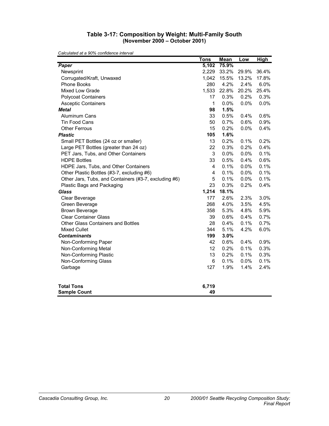#### **Table 3-17: Composition by Weight: Multi-Family South (November 2000 – October 2001)**

|                                                       | <b>Tons</b>             | <b>Mean</b> | Low   | <b>High</b> |
|-------------------------------------------------------|-------------------------|-------------|-------|-------------|
| Paper                                                 | 5,102                   | 75.9%       |       |             |
| Newsprint                                             | 2,229                   | 33.2%       | 29.9% | 36.4%       |
| Corrugated/Kraft, Unwaxed                             | 1,042                   | 15.5%       | 13.2% | 17.8%       |
| Phone Books                                           | 280                     | 4.2%        | 2.4%  | 6.0%        |
| Mixed Low Grade                                       | 1,533                   | 22.8%       | 20.2% | 25.4%       |
| <b>Polycoat Containers</b>                            | 17                      | 0.3%        | 0.2%  | 0.3%        |
| <b>Asceptic Containers</b>                            | 1                       | 0.0%        | 0.0%  | 0.0%        |
| <b>Metal</b>                                          | 98                      | 1.5%        |       |             |
| <b>Aluminum Cans</b>                                  | 33                      | 0.5%        | 0.4%  | 0.6%        |
| <b>Tin Food Cans</b>                                  | 50                      | 0.7%        | 0.6%  | 0.9%        |
| <b>Other Ferrous</b>                                  | 15                      | 0.2%        | 0.0%  | 0.4%        |
| <b>Plastic</b>                                        | 105                     | 1.6%        |       |             |
| Small PET Bottles (24 oz or smaller)                  | 13                      | 0.2%        | 0.1%  | 0.2%        |
| Large PET Bottles (greater than 24 oz)                | 22                      | 0.3%        | 0.2%  | 0.4%        |
| PET Jars, Tubs, and Other Containers                  | 3                       | 0.0%        | 0.0%  | 0.1%        |
| <b>HDPE Bottles</b>                                   | 33                      | 0.5%        | 0.4%  | 0.6%        |
| HDPE Jars, Tubs, and Other Containers                 | 4                       | 0.1%        | 0.0%  | 0.1%        |
| Other Plastic Bottles (#3-7, excluding #6)            | $\overline{\mathbf{4}}$ | 0.1%        | 0.0%  | 0.1%        |
| Other Jars, Tubs, and Containers (#3-7, excluding #6) | 5                       | 0.1%        | 0.0%  | 0.1%        |
| Plastic Bags and Packaging                            | 23                      | 0.3%        | 0.2%  | 0.4%        |
| <b>Glass</b>                                          | 1,214                   | 18.1%       |       |             |
| Clear Beverage                                        | 177                     | 2.6%        | 2.3%  | 3.0%        |
| Green Beverage                                        | 268                     | 4.0%        | 3.5%  | 4.5%        |
| <b>Brown Beverage</b>                                 | 358                     | 5.3%        | 4.8%  | 5.9%        |
| <b>Clear Container Glass</b>                          | 39                      | 0.6%        | 0.4%  | 0.7%        |
| Other Glass Containers and Bottles                    | 28                      | 0.4%        | 0.1%  | 0.7%        |
| <b>Mixed Cullet</b>                                   | 344                     | 5.1%        | 4.2%  | 6.0%        |
| <b>Contaminants</b>                                   | 199                     | 3.0%        |       |             |
| Non-Conforming Paper                                  | 42                      | 0.6%        | 0.4%  | 0.9%        |
| Non-Conforming Metal                                  | 12                      | 0.2%        | 0.1%  | 0.3%        |
| Non-Conforming Plastic                                | 13                      | 0.2%        | 0.1%  | 0.3%        |
| Non-Conforming Glass                                  | 6                       | 0.1%        | 0.0%  | 0.1%        |
| Garbage                                               | 127                     | 1.9%        | 1.4%  | 2.4%        |
| <b>Total Tons</b><br><b>Sample Count</b>              | 6,719<br>49             |             |       |             |
|                                                       |                         |             |       |             |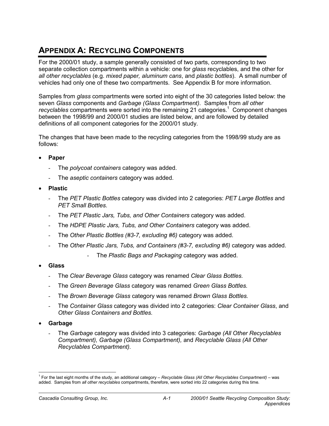# **APPENDIX A: RECYCLING COMPONENTS**

For the 2000/01 study, a sample generally consisted of two parts, corresponding to two separate collection compartments within a vehicle: one for *glass* recyclables, and the other for *all other recyclables* (e.g. *mixed paper, aluminum cans*, and *plastic bottles*). A small number of vehicles had only one of these two compartments. See Appendix B for more information.

Samples from *glass* compartments were sorted into eight of the 30 categories listed below: the seven *Glass* components and *Garbage (Glass Compartment)*. Samples from *all other*  recyclables compartments were sorted into the remaining 21 categories.<sup>1</sup> Component changes between the 1998/99 and 2000/01 studies are listed below, and are followed by detailed definitions of all component categories for the 2000/01 study.

The changes that have been made to the recycling categories from the 1998/99 study are as follows:

- **Paper**
	- The *polycoat containers* category was added.
	- The *aseptic containers* category was added.
- **Plastic**
	- The *PET Plastic Bottles* category was divided into 2 categories: *PET Large Bottles* and *PET Small Bottles*.
	- The *PET Plastic Jars, Tubs, and Other Containers* category was added.
	- The *HDPE Plastic Jars, Tubs, and Other Containers* category was added.
	- The *Other Plastic Bottles (#3-7, excluding #6)* category was added.
	- The *Other Plastic Jars, Tubs, and Containers (#3-7, excluding #6)* category was added.
		- The *Plastic Bags and Packaging* category was added.
- **Glass**
	- The *Clear Beverage Glass* category was renamed *Clear Glass Bottles.*
	- The *Green Beverage Glass* category was renamed *Green Glass Bottles.*
	- The *Brown Beverage Glass* category was renamed *Brown Glass Bottles.*
	- The *Container Glass* category was divided into 2 categories: *Clear Container Glass*, and *Other Glass Containers and Bottles.*
- **Garbage**
	- The *Garbage* category was divided into 3 categories: *Garbage (All Other Recyclables Compartment), Garbage (Glass Compartment),* and *Recyclable Glass (All Other Recyclables Compartment).*

 $\overline{a}$ 1 For the last eight months of the study, an additional category – *Recyclable Glass (All Other Recyclables Compartment)* – was added. Samples from *all other recyclables* compartments, therefore, were sorted into 22 categories during this time.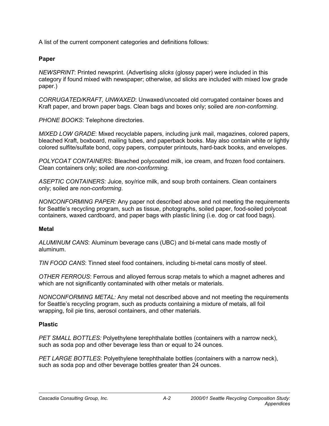A list of the current component categories and definitions follows:

### **Paper**

*NEWSPRINT*: Printed newsprint. (Advertising *slicks* (glossy paper) were included in this category if found mixed with newspaper; otherwise, ad slicks are included with mixed low grade paper.)

*CORRUGATED/KRAFT, UNWAXED*: Unwaxed/uncoated old corrugated container boxes and Kraft paper, and brown paper bags. Clean bags and boxes only; soiled are *non-conforming*.

*PHONE BOOKS*: Telephone directories.

*MIXED LOW GRADE*: Mixed recyclable papers, including junk mail, magazines, colored papers, bleached Kraft, boxboard, mailing tubes, and paperback books. May also contain white or lightly colored sulfite/sulfate bond, copy papers, computer printouts, hard-back books, and envelopes.

*POLYCOAT CONTAINERS:* Bleached polycoated milk, ice cream, and frozen food containers. Clean containers only; soiled are *non-conforming*.

*ASEPTIC CONTAINERS:* Juice, soy/rice milk, and soup broth containers. Clean containers only; soiled are *non-conforming*.

*NONCONFORMING PAPER:* Any paper not described above and not meeting the requirements for Seattle's recycling program, such as tissue, photographs, soiled paper, food-soiled polycoat containers, waxed cardboard, and paper bags with plastic lining (i.e. dog or cat food bags).

### **Metal**

*ALUMINUM CANS*: Aluminum beverage cans (UBC) and bi-metal cans made mostly of aluminum.

*TIN FOOD CANS*: Tinned steel food containers, including bi-metal cans mostly of steel.

*OTHER FERROUS*: Ferrous and alloyed ferrous scrap metals to which a magnet adheres and which are not significantly contaminated with other metals or materials.

*NONCONFORMING METAL:* Any metal not described above and not meeting the requirements for Seattle's recycling program, such as products containing a mixture of metals, all foil wrapping, foil pie tins, aerosol containers, and other materials.

### **Plastic**

*PET SMALL BOTTLES:* Polyethylene terephthalate bottles (containers with a narrow neck), such as soda pop and other beverage less than or equal to 24 ounces.

*PET LARGE BOTTLES*: Polyethylene terephthalate bottles (containers with a narrow neck), such as soda pop and other beverage bottles greater than 24 ounces.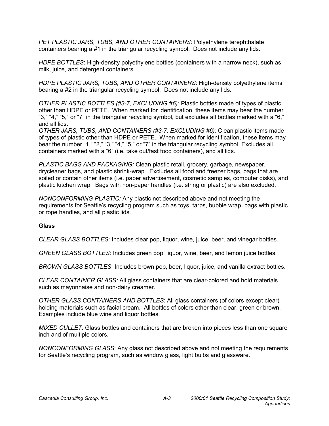*PET PLASTIC JARS, TUBS, AND OTHER CONTAINERS:* Polyethylene terephthalate containers bearing a #1 in the triangular recycling symbol. Does not include any lids.

*HDPE BOTTLES*: High-density polyethylene bottles (containers with a narrow neck), such as milk, juice, and detergent containers.

*HDPE PLASTIC JARS, TUBS, AND OTHER CONTAINERS*: High-density polyethylene items bearing a #2 in the triangular recycling symbol. Does not include any lids.

*OTHER PLASTIC BOTTLES (#3-7, EXCLUDING #6):* Plastic bottles made of types of plastic other than HDPE or PETE. When marked for identification, these items may bear the number "3," "4," "5," or "7" in the triangular recycling symbol, but excludes all bottles marked with a "6," and all lids.

*OTHER JARS, TUBS, AND CONTAINERS (#3-7, EXCLUDING #6):* Clean plastic items made of types of plastic other than HDPE or PETE. When marked for identification, these items may bear the number "1," "2," "3," "4," "5," or "7" in the triangular recycling symbol. Excludes all containers marked with a "6" (i.e. take out/fast food containers), and all lids.

*PLASTIC BAGS AND PACKAGING:* Clean plastic retail, grocery, garbage, newspaper, drycleaner bags, and plastic shrink-wrap. Excludes all food and freezer bags, bags that are soiled or contain other items (i.e. paper advertisement, cosmetic samples, computer disks), and plastic kitchen wrap. Bags with non-paper handles (i.e. string or plastic) are also excluded.

*NONCONFORMING PLASTIC:* Any plastic not described above and not meeting the requirements for Seattle's recycling program such as toys, tarps, bubble wrap, bags with plastic or rope handles, and all plastic lids.

### **Glass**

*CLEAR GLASS BOTTLES*: Includes clear pop, liquor, wine, juice, beer, and vinegar bottles.

*GREEN GLASS BOTTLES*: Includes green pop, liquor, wine, beer, and lemon juice bottles.

*BROWN GLASS BOTTLES*: Includes brown pop, beer, liquor, juice, and vanilla extract bottles.

*CLEAR CONTAINER GLASS:* All glass containers that are clear-colored and hold materials such as mayonnaise and non-dairy creamer.

*OTHER GLASS CONTAINERS AND BOTTLES*: All glass containers (of colors except clear) holding materials such as facial cream. All bottles of colors other than clear, green or brown. Examples include blue wine and liquor bottles.

*MIXED CULLET*. Glass bottles and containers that are broken into pieces less than one square inch and of multiple colors.

*NONCONFORMING GLASS*: Any glass not described above and not meeting the requirements for Seattle's recycling program, such as window glass, light bulbs and glassware.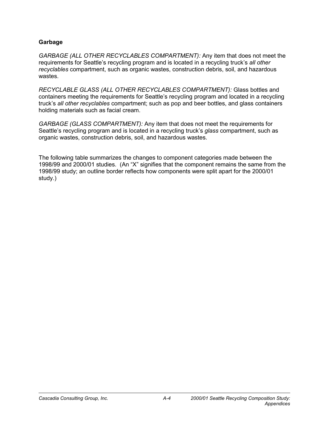### **Garbage**

*GARBAGE (ALL OTHER RECYCLABLES COMPARTMENT):* Any item that does not meet the requirements for Seattle's recycling program and is located in a recycling truck's *all other recyclables* compartment, such as organic wastes, construction debris, soil, and hazardous wastes.

*RECYCLABLE GLASS (ALL OTHER RECYCLABLES COMPARTMENT):* Glass bottles and containers meeting the requirements for Seattle's recycling program and located in a recycling truck's *all other recyclables* compartment; such as pop and beer bottles, and glass containers holding materials such as facial cream.

*GARBAGE (GLASS COMPARTMENT):* Any item that does not meet the requirements for Seattle's recycling program and is located in a recycling truck's *glass* compartment, such as organic wastes, construction debris, soil, and hazardous wastes.

The following table summarizes the changes to component categories made between the 1998/99 and 2000/01 studies. (An "X" signifies that the component remains the same from the 1998/99 study; an outline border reflects how components were split apart for the 2000/01 study.)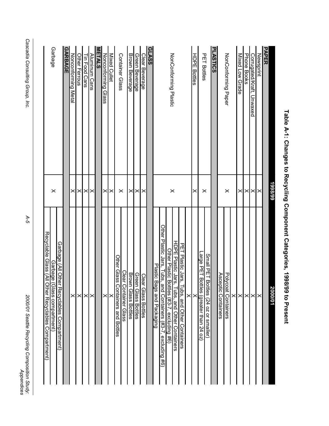|                                  | 1998/99  | 2000/01                                                            |
|----------------------------------|----------|--------------------------------------------------------------------|
| <b>PAPER</b><br><b>Newsprint</b> | $\times$ | $\times$                                                           |
| Corrugated/Kraft, Unwaxed        | $\times$ | $\times$                                                           |
| Phone Books                      | $\times$ | ×                                                                  |
| Mixed Low Grade                  | $\times$ | ×                                                                  |
|                                  |          | $\times$                                                           |
| NonConforming Paper              | $\times$ | Polycoat Containers                                                |
|                                  |          | Asceptic Containers                                                |
| <b>PLASTICS</b>                  |          |                                                                    |
|                                  |          | Small PET Bottles (24 oz or smaller)                               |
| <b>PET Bottles</b>               | $\times$ | Large PET<br>Bott<br>lles (greater than 24 oz)                     |
| <b>HDPE Bottles</b>              | ×        | ≻                                                                  |
|                                  |          | ×ı                                                                 |
|                                  |          | PET Plastic Jars,<br>ines, and Other Containers                    |
|                                  |          | HDPE Plastic Jars,<br><b>Libs, and Other Containers</b>            |
| NonConforming Plastic            | $\times$ | Other Plastic Bo<br>ttles (#3-7, excluding #6)                     |
|                                  |          | Other Plastic Jars, Tubs, a<br>ınd Containers (#3-7, excluding #6) |
|                                  |          | Plastic Ba<br>gs and Packaging                                     |
| <b>GLASS</b>                     |          |                                                                    |
| Clear Beverage                   | $\times$ | Clear<br>Glass Bottles                                             |
| Green Beverage                   | $\times$ | Green Glass Bottles                                                |
| <b>Brown Beverage</b>            | $\times$ | <b>Brown</b><br>Glass Bottles                                      |
|                                  | $\times$ | Clear <sub>C</sub><br>container Glass                              |
| Container Glass                  |          | Other Glass C<br>Containers and Bottles                            |
| <b>Mixed Cullet</b>              | ×        | ×                                                                  |
| Nonconforming Glass              | ×        | $\times$                                                           |
| METALS                           |          |                                                                    |
| Aluminum Cans                    | $\times$ | $\times$                                                           |
| <b>Tin Food Cans</b>             | $\times$ | $\times$                                                           |
| Other Ferrous                    | ×        | ×                                                                  |
| Nonconforming Metal              | ×        | $\times$                                                           |
| <b>GARBAGE</b>                   |          |                                                                    |
|                                  |          | Garbage (All Other<br>Recyclaples Compartment)                     |
| <b>Garbage</b>                   | $\times$ | Garbage (Glass compartment)                                        |
|                                  |          | Recyclable Glass (All O<br>ther Recyclables Compartment)           |
|                                  |          |                                                                    |
|                                  |          |                                                                    |
|                                  |          |                                                                    |

Table A-1: Changes to Recycling Component Categories, 1998/99 to Present **Table A-1: Changes to Recycling Component Categories, 1998/99 to Present**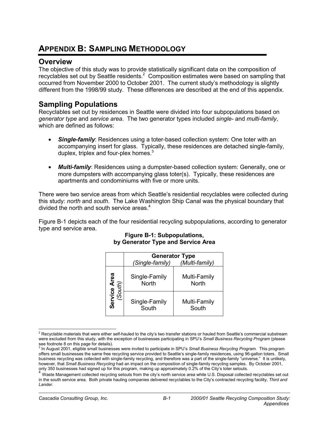## **APPENDIX B: SAMPLING METHODOLOGY**

### **Overview**

The objective of this study was to provide statistically significant data on the composition of recyclables set out by Seattle residents. $2$  Composition estimates were based on sampling that occurred from November 2000 to October 2001. The current study's methodology is slightly different from the 1998/99 study. These differences are described at the end of this appendix.

### **Sampling Populations**

Recyclables set out by residences in Seattle were divided into four subpopulations based on *generator type* and *service area*. The two generator types included *single-* and *multi-family*, which are defined as follows:

- **Single-family:** Residences using a toter-based collection system: One toter with an accompanying insert for glass. Typically, these residences are detached single-family, duplex, triplex and four-plex homes. $3$
- *Multi-family*: Residences using a dumpster-based collection system: Generally, one or more dumpsters with accompanying glass toter(s). Typically, these residences are apartments and condominiums with five or more units.

There were two service areas from which Seattle's residential recyclables were collected during this study: *north* and *south*. The Lake Washington Ship Canal was the physical boundary that divided the north and south service areas. $4$ 

Figure B-1 depicts each of the four residential recycling subpopulations, according to generator type and service area.

|                        | <b>Generator Type</b>         |                              |
|------------------------|-------------------------------|------------------------------|
|                        | (Single-family)               | (Multi-family)               |
| –<br>South)<br>(South) | Single-Family<br><b>North</b> | Multi-Family<br><b>North</b> |
| Serv                   | Single-Family<br>South        | Multi-Family<br>South        |

### **Figure B-1: Subpopulations, by Generator Type and Service Area**

 2 Recyclable materials that were either self-hauled to the city's two transfer stations or hauled from Seattle's commercial substream were excluded from this study, with the exception of businesses participating in SPU's *Small Business Recycling Program* (please

see footnote 8 on this page for details). 3 In August 2001, eligible small businesses were invited to participate in SPU's *Small Business Recycling Program*. This program offers small businesses the same free recycling service provided to Seattle's single-family residences, using 96-gallon toters. Small business recycling was collected with single-family recycling, and therefore was a part of the single-family "universe." It is unlikely, however, that *Small Business Recycling* had an impact on the composition of single-family recycling samples. By October 2001, only 350 businesses had signed up for this program, making up approximately 0.2% of the City's toter setouts.

 $4$  Waste Management collected recycling setouts from the city's north service area while U.S. Disposal collected recyclables set out in the south service area. Both private hauling companies delivered recyclables to the City's contracted recycling facility, *Third and Lander*.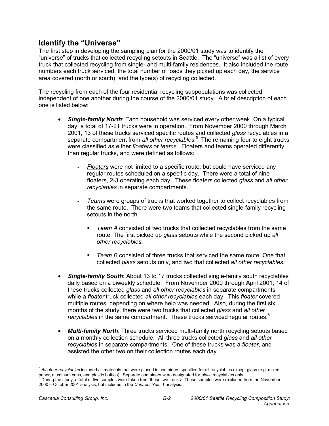### **Identify the "Universe"**

The first step in developing the sampling plan for the 2000/01 study was to identify the "universe" of trucks that collected recycling setouts in Seattle. The "universe" was a list of every truck that collected recycling from single- and multi-family residences. It also included the route numbers each truck serviced, the total number of loads they picked up each day, the service area covered (north or south), and the type(s) of recycling collected.

The recycling from each of the four residential recycling subpopulations was collected independent of one another during the course of the 2000/01 study. A brief description of each one is listed below:

- *Single-family North*: Each household was serviced every other week. On a typical day, a total of 17-21 trucks were in operation. From November 2000 through March 2001, 13 of these trucks serviced specific routes and collected *glass* recyclables in a separate compartment from all other recyclables.<sup>5</sup> The remaining four to eight trucks were classified as either *floaters* or *teams*. Floaters and teams operated differently than regular trucks, and were defined as follows:
	- *Floaters* were not limited to a specific route, but could have serviced any regular routes scheduled on a specific day. There were a total of nine floaters, 2-3 operating each day. These floaters collected *glass* and *all other recyclables* in separate compartments.
	- *Teams* were groups of trucks that worked together to collect recyclables from the same route. There were two teams that collected single-family recycling setouts in the north.
		- *Team A* consisted of two trucks that collected recyclables from the same route: The first picked up *glass* setouts while the second picked up *all other recyclables*.
		- *Team B* consisted of three trucks that serviced the same route: One that collected *glass* setouts only, and two that collected *all other recyclables.*
- *Single-family South*: About 13 to 17 trucks collected single-family south recyclables daily based on a biweekly schedule. From November 2000 through April 2001, 14 of these trucks collected *glass* and *all other recyclables* in separate compartments while a *floater* truck collected *all other recyclables* each day. This *floater* covered multiple routes, depending on where help was needed. Also, during the first six months of the study, there were two trucks that collected *glass* and *all other recyclables* in the same compartment. These trucks serviced regular routes.<sup>6</sup>
- *Multi-family North*: Three trucks serviced multi-family north recycling setouts based on a monthly collection schedule. All three trucks collected *glass* and *all other recyclables* in separate compartments. One of these trucks was a *floater*, and assisted the other two on their collection routes each day.

<sup>5</sup> *All other recyclables* included all materials that were placed in containers specified for all recyclables except glass (e.g. mixed paper, aluminum cans, and plastic bottles). Separate containers were designated for *glass* recyclables only. 6 During the study, a total of five samples were taken from these two trucks. These samples were excluded from the November 2000 – October 2001 analysis, but included in the *Contract Year 1* analysis.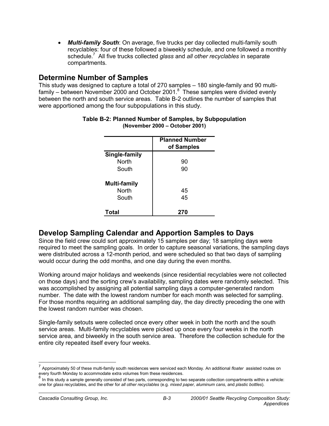• *Multi-family South*: On average, five trucks per day collected multi-family south recyclables: four of these followed a biweekly schedule, and one followed a monthly schedule.7 All five trucks collected *glass* and *all other recyclables* in separate compartments.

### **Determine Number of Samples**

This study was designed to capture a total of 270 samples – 180 single-family and 90 multifamily  $-$  between November 2000 and October 2001.<sup>8</sup> These samples were divided evenly between the north and south service areas. Table B-2 outlines the number of samples that were apportioned among the four subpopulations in this study.

|                     | <b>Planned Number</b><br>of Samples |
|---------------------|-------------------------------------|
| Single-family       |                                     |
| <b>North</b>        | 90                                  |
| South               | 90                                  |
| <b>Multi-family</b> |                                     |
| <b>North</b>        | 45                                  |
| South               | 45                                  |
| Total               | 270                                 |

### **Table B-2: Planned Number of Samples, by Subpopulation (November 2000 – October 2001)**

### **Develop Sampling Calendar and Apportion Samples to Days**

Since the field crew could sort approximately 15 samples per day; 18 sampling days were required to meet the sampling goals. In order to capture seasonal variations, the sampling days were distributed across a 12-month period, and were scheduled so that two days of sampling would occur during the odd months, and one day during the even months.

Working around major holidays and weekends (since residential recyclables were not collected on those days) and the sorting crew's availability, sampling dates were randomly selected. This was accomplished by assigning all potential sampling days a computer-generated random number. The date with the lowest random number for each month was selected for sampling. For those months requiring an additional sampling day, the day directly preceding the one with the lowest random number was chosen.

Single-family setouts were collected once every other week in both the north and the south service areas. Multi-family recyclables were picked up once every four weeks in the north service area, and biweekly in the south service area. Therefore the collection schedule for the entire city repeated itself every four weeks.

<sup>7</sup> Approximately 50 of these multi-family south residences were serviced each Monday. An additional *floater* assisted routes on every fourth Monday to accommodate extra volumes from these residences.

In this study a sample generally consisted of two parts, corresponding to two separate collection compartments within a vehicle: one for *glass* recyclables, and the other for *all other recyclables* (e.g. *mixed paper, aluminum cans*, and *plastic bottles*).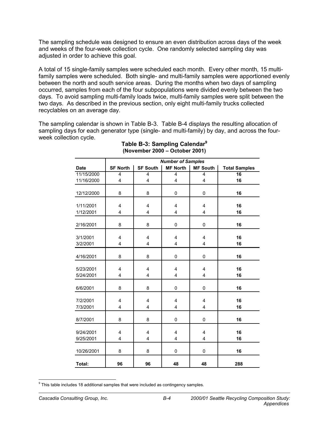The sampling schedule was designed to ensure an even distribution across days of the week and weeks of the four-week collection cycle. One randomly selected sampling day was adjusted in order to achieve this goal.

A total of 15 single-family samples were scheduled each month. Every other month, 15 multifamily samples were scheduled. Both single- and multi-family samples were apportioned evenly between the north and south service areas. During the months when two days of sampling occurred, samples from each of the four subpopulations were divided evenly between the two days. To avoid sampling multi-family loads twice, multi-family samples were split between the two days. As described in the previous section, only eight multi-family trucks collected recyclables on an average day.

The sampling calendar is shown in Table B-3. Table B-4 displays the resulting allocation of sampling days for each generator type (single- and multi-family) by day, and across the fourweek collection cycle.

|                        |                         |                 | <b>Number of Samples</b> |                         |                      |
|------------------------|-------------------------|-----------------|--------------------------|-------------------------|----------------------|
| <b>Date</b>            | <b>SF North</b>         | <b>SF South</b> | <b>MF North</b>          | MF South                | <b>Total Samples</b> |
| 11/15/2000             | $\overline{4}$          | 4               | 4                        | 4                       | 16                   |
| 11/16/2000             | $\overline{\mathbf{4}}$ | 4               | 4                        | $\overline{\mathbf{4}}$ | 16                   |
| 12/12/2000             | 8                       | 8               | $\mathbf 0$              | 0                       | 16                   |
| 1/11/2001<br>1/12/2001 | 4<br>$\overline{4}$     | 4<br>4          | 4<br>4                   | 4<br>$\overline{4}$     | 16<br>16             |
| 2/16/2001              | 8                       | 8               | 0                        | 0                       | 16                   |
| 3/1/2001<br>3/2/2001   | $\overline{4}$<br>4     | 4<br>4          | 4<br>4                   | 4<br>4                  | 16<br>16             |
| 4/16/2001              | 8                       | 8               | 0                        | 0                       | 16                   |
| 5/23/2001<br>5/24/2001 | $\overline{4}$<br>4     | 4<br>4          | 4<br>4                   | 4<br>4                  | 16<br>16             |
| 6/6/2001               | 8                       | 8               | 0                        | 0                       | 16                   |
| 7/2/2001<br>7/3/2001   | $\overline{4}$<br>4     | 4<br>4          | 4<br>4                   | 4<br>4                  | 16<br>16             |
| 8/7/2001               | 8                       | 8               | 0                        | 0                       | 16                   |
| 9/24/2001<br>9/25/2001 | 4<br>4                  | 4<br>4          | 4<br>4                   | 4<br>4                  | 16<br>16             |
| 10/26/2001             | 8                       | 8               | 0                        | 0                       | 16                   |
| Total:                 | 96                      | 96              | 48                       | 48                      | 288                  |

#### **Table B-3: Sampling Calendar9 (November 2000 – October 2001)**

e<br>This table includes 18 additional samples that were included as contingency samples.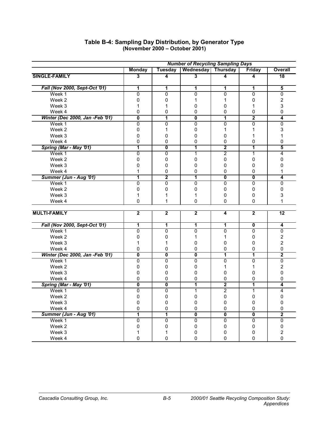|                                 | <b>Number of Recycling Sampling Days</b> |                           |                         |                           |                           |                         |
|---------------------------------|------------------------------------------|---------------------------|-------------------------|---------------------------|---------------------------|-------------------------|
|                                 | <b>Monday</b>                            | Tuesday                   | Wednesday               | <b>Thursday</b>           | Friday                    | Overall                 |
| SINGLE-FAMILY                   | 3                                        | 4                         | 3                       | 4                         | 4                         | $\overline{18}$         |
| Fall (Nov 2000, Sept-Oct '01)   |                                          |                           |                         |                           | 1                         |                         |
|                                 | 1<br>$\overline{0}$                      | 1                         | 1                       | 1                         |                           | 5                       |
| Week 1                          |                                          | 0                         | 0                       | $\overline{0}$            | $\overline{0}$            | $\overline{0}$          |
| Week 2                          | 0                                        | 0                         | 1                       | 1                         | 0                         | $\overline{\mathbf{c}}$ |
| Week 3                          | $\mathbf 1$                              | 1                         | 0                       | 0                         | 1                         | 3                       |
| Week 4                          | $\pmb{0}$                                | $\mathsf 0$               | 0                       | 0                         | $\pmb{0}$                 | 0                       |
| Winter (Dec 2000, Jan -Feb '01) | $\overline{\mathfrak{o}}$                | 1                         | $\overline{\mathbf{0}}$ | $\overline{1}$            | $\overline{2}$            | 4                       |
| Week 1                          | $\overline{0}$                           | $\overline{0}$            | $\overline{0}$          | $\overline{\mathfrak{o}}$ | $\overline{0}$            | $\overline{0}$          |
| Week 2                          | $\pmb{0}$                                | 1                         | 0                       | $\mathbf{1}$              | 1                         | 3                       |
| Week 3                          | $\pmb{0}$                                | 0                         | 0                       | 0                         | 1                         | 1                       |
| Week 4                          | 0                                        | $\mathbf 0$               | 0                       | 0                         | 0                         | 0                       |
| Spring (Mar - May '01)          | 7                                        | $\overline{\mathfrak{o}}$ | 7                       | $\overline{2}$            | 1                         | 5                       |
| Week 1                          | 0                                        | $\mathbf{0}$              | $\mathbf{1}$            | $\overline{2}$            | 1                         | 4                       |
| Week 2                          | $\pmb{0}$                                | $\pmb{0}$                 | $\pmb{0}$               | $\pmb{0}$                 | 0                         | 0                       |
| Week 3                          | $\pmb{0}$                                | 0                         | $\mathbf 0$             | 0                         | 0                         | 0                       |
| Week 4                          | 1                                        | 0                         | 0                       | 0                         | 0                         | 1                       |
| Summer (Jun - Aug '01)          | 1                                        | $\overline{2}$            | 7                       | $\overline{\mathfrak{o}}$ | $\overline{\mathfrak{o}}$ | 4                       |
| Week 1                          | $\overline{0}$                           | $\mathbf{0}$              | 0                       | 0                         | 0                         | $\overline{0}$          |
| Week 2                          | 0                                        | 0                         | 0                       | $\mathbf{0}$              | 0                         | 0                       |
| Week 3                          | $\mathbf 1$                              | 1                         | $\mathbf{1}$            | 0                         | 0                         | 3                       |
| Week 4                          | $\mathbf 0$                              | 1                         | $\mathbf 0$             | $\Omega$                  | 0                         | 1                       |
|                                 |                                          |                           |                         |                           |                           |                         |
| <b>MULTI-FAMILY</b>             | $\overline{\mathbf{2}}$                  | $\overline{\mathbf{2}}$   | $\overline{\mathbf{2}}$ | 4                         | $\overline{\mathbf{2}}$   | $\overline{12}$         |
| Fall (Nov 2000, Sept-Oct '01)   | 1                                        | 1                         | 1                       | 1                         | $\overline{\mathbf{0}}$   | 4                       |
| Week 1                          | $\overline{0}$                           | $\overline{0}$            | $\overline{0}$          | $\overline{0}$            | $\overline{0}$            | $\overline{0}$          |
| Week 2                          | $\pmb{0}$                                | 0                         | 1                       | 1                         | 0                         | $\overline{2}$          |
| Week 3                          | 1                                        | 1                         | $\pmb{0}$               | 0                         | 0                         | $\overline{2}$          |
| Week 4                          | 0                                        | 0                         | 0                       | $\mathbf 0$               | 0                         | 0                       |
| Winter (Dec 2000, Jan -Feb '01) | $\overline{\mathbf{0}}$                  | $\overline{\mathbf{0}}$   | $\overline{\mathbf{0}}$ | 1                         | 1                         | $\overline{2}$          |
| Week 1                          | $\overline{0}$                           | $\overline{0}$            | $\overline{0}$          | $\overline{0}$            | $\overline{0}$            | $\overline{0}$          |
| Week 2                          | 0                                        | 0                         | 0                       | $\mathbf{1}$              | 1                         | $\overline{c}$          |
| Week 3                          | 0                                        | 0                         | $\mathbf 0$             | $\mathbf 0$               | 0                         | 0                       |
| Week 4                          | 0                                        | 0                         | $\mathbf 0$             | $\pmb{0}$                 | 0                         | 0                       |
| Spring (Mar - May '01)          | $\overline{\mathbf{0}}$                  | $\overline{\mathbf{0}}$   | 1                       | $\overline{2}$            | 1                         | 4                       |
| Week 1                          | 0                                        | 0                         | $\mathbf{1}$            | $\overline{c}$            | 1                         | 4                       |
| Week 2                          | 0                                        | 0                         | $\mathsf 0$             | $\mathsf 0$               | 0                         | 0                       |
| Week 3                          | $\pmb{0}$                                | 0                         | $\mathsf 0$             | 0                         | 0                         | 0                       |
| Week 4                          | 0                                        | 0                         | 0                       | 0                         | 0                         | 0                       |
| Summer (Jun - Aug '01)          | 1                                        | 1                         | $\overline{\mathbf{0}}$ | $\overline{\mathfrak{o}}$ | $\overline{\mathbf{0}}$   | $\overline{2}$          |
| Week 1                          | $\overline{0}$                           | $\overline{0}$            | $\overline{0}$          | $\overline{0}$            | $\overline{0}$            | $\overline{0}$          |
| Week 2                          | 0                                        | 0                         | 0                       | 0                         | 0                         | 0                       |
| Week 3                          | 1                                        | 1                         | 0                       | 0                         | 0                         | $\overline{\mathbf{c}}$ |
| Week 4                          | $\mathbf{0}$                             | 0                         | $\Omega$                | 0                         | $\mathbf{0}$              | 0                       |
|                                 |                                          |                           |                         |                           |                           |                         |

#### **Table B-4: Sampling Day Distribution, by Generator Type (November 2000 – October 2001)**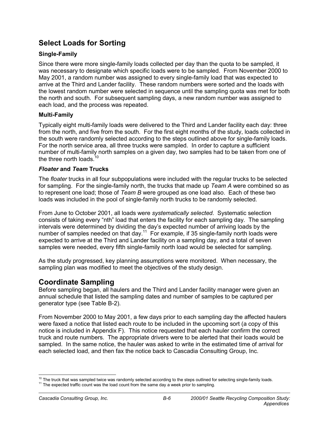### **Select Loads for Sorting**

### **Single-Family**

Since there were more single-family loads collected per day than the quota to be sampled, it was necessary to designate which specific loads were to be sampled. From November 2000 to May 2001, a random number was assigned to every single-family load that was expected to arrive at the Third and Lander facility. These random numbers were sorted and the loads with the lowest random number were selected in sequence until the sampling quota was met for both the north and south. For subsequent sampling days, a new random number was assigned to each load, and the process was repeated.

### **Multi-Family**

Typically eight multi-family loads were delivered to the Third and Lander facility each day: three from the north, and five from the south. For the first eight months of the study, loads collected in the south were randomly selected according to the steps outlined above for single-family loads. For the north service area, all three trucks were sampled. In order to capture a sufficient number of multi-family north samples on a given day, two samples had to be taken from one of the three north loads.<sup>10</sup>

### *Floater* **and** *Team* **Trucks**

The *floater* trucks in all four subpopulations were included with the regular trucks to be selected for sampling. For the single-family north, the trucks that made up *Team A* were combined so as to represent one load; those of *Team B* were grouped as one load also. Each of these two loads was included in the pool of single-family north trucks to be randomly selected.

From June to October 2001, all loads were *systematically selected*. Systematic selection consists of taking every "nth" load that enters the facility for each sampling day. The sampling intervals were determined by dividing the day's expected number of arriving loads by the number of samples needed on that day.<sup>11</sup> For example, if 35 single-family north loads were expected to arrive at the Third and Lander facility on a sampling day, and a total of seven samples were needed, every fifth single-family north load would be selected for sampling.

As the study progressed, key planning assumptions were monitored. When necessary, the sampling plan was modified to meet the objectives of the study design.

### **Coordinate Sampling**

Before sampling began, all haulers and the Third and Lander facility manager were given an annual schedule that listed the sampling dates and number of samples to be captured per generator type (see Table B-2).

From November 2000 to May 2001, a few days prior to each sampling day the affected haulers were faxed a notice that listed each route to be included in the upcoming sort (a copy of this notice is included in Appendix F). This notice requested that each hauler confirm the correct truck and route numbers. The appropriate drivers were to be alerted that their loads would be sampled. In the same notice, the hauler was asked to write in the estimated time of arrival for each selected load, and then fax the notice back to Cascadia Consulting Group, Inc.

 <sup>10</sup> The truck that was sampled twice was randomly selected according to the steps outlined for selecting single-family loads. 11 The expected traffic count was the load count from the same day a week prior to sampling.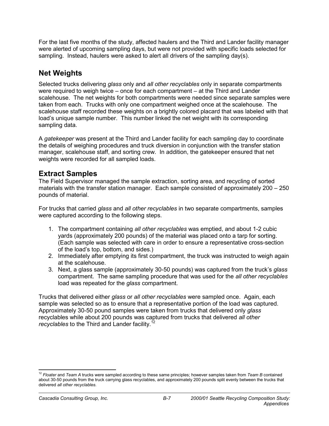For the last five months of the study, affected haulers and the Third and Lander facility manager were alerted of upcoming sampling days, but were not provided with specific loads selected for sampling. Instead, haulers were asked to alert all drivers of the sampling day(s).

### **Net Weights**

Selected trucks delivering *glass* only and *all other recyclables* only in separate compartments were required to weigh twice – once for each compartment – at the Third and Lander scalehouse. The net weights for both compartments were needed since separate samples were taken from each. Trucks with only one compartment weighed once at the scalehouse. The scalehouse staff recorded these weights on a brightly colored placard that was labeled with that load's unique sample number. This number linked the net weight with its corresponding sampling data.

A *gatekeeper* was present at the Third and Lander facility for each sampling day to coordinate the details of weighing procedures and truck diversion in conjunction with the transfer station manager, scalehouse staff, and sorting crew. In addition, the gatekeeper ensured that net weights were recorded for all sampled loads.

### **Extract Samples**

The Field Supervisor managed the sample extraction, sorting area, and recycling of sorted materials with the transfer station manager. Each sample consisted of approximately 200 – 250 pounds of material.

For trucks that carried *glass* and *all other recyclables* in two separate compartments, samples were captured according to the following steps.

- 1. The compartment containing *all other recyclables* was emptied, and about 1-2 cubic yards (approximately 200 pounds) of the material was placed onto a tarp for sorting. (Each sample was selected with care in order to ensure a representative cross-section of the load's top, bottom, and sides.)
- 2. Immediately after emptying its first compartment, the truck was instructed to weigh again at the scalehouse.
- 3. Next, a glass sample (approximately 30-50 pounds) was captured from the truck's *glass* compartment. The same sampling procedure that was used for the *all other recyclables*  load was repeated for the *glass* compartment.

Trucks that delivered either *glass* or *all other recyclables* were sampled once. Again, each sample was selected so as to ensure that a representative portion of the load was captured. Approximately 30-50 pound samples were taken from trucks that delivered only *glass* recyclables while about 200 pounds was captured from trucks that delivered *all other recyclables* to the Third and Lander facility.<sup>12</sup>

 <sup>12</sup> *Floater* and *Team A* trucks were sampled according to these same principles; however samples taken from *Team B* contained about 30-50 pounds from the truck carrying glass recyclables, and approximately 200 pounds split evenly between the trucks that delivered *all other recyclables*.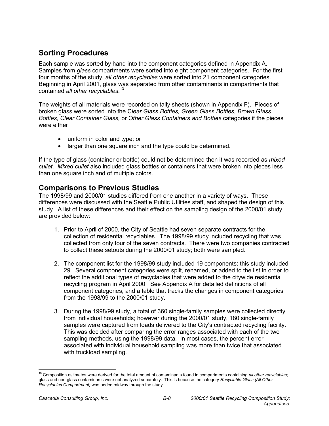### **Sorting Procedures**

Each sample was sorted by hand into the component categories defined in Appendix A. Samples from *glass* compartments were sorted into eight component categories. For the first four months of the study, *all other recyclables* were sorted into 21 component categories. Beginning in April 2001, glass was separated from other contaminants in compartments that contained *all other recyclables*. 13

The weights of all materials were recorded on tally sheets (shown in Appendix F). Pieces of broken glass were sorted into the C*lear Glass Bottles, Green Glass Bottles, Brown Glass Bottles, Clear Container Glass,* or O*ther Glass Containers and Bottles* categories if the pieces were either

- uniform in color and type; or
- larger than one square inch and the type could be determined.

If the type of glass (container or bottle) could not be determined then it was recorded as *mixed cullet. Mixed cullet* also included glass bottles or containers that were broken into pieces less than one square inch and of multiple colors.

### **Comparisons to Previous Studies**

The 1998/99 and 2000/01 studies differed from one another in a variety of ways. These differences were discussed with the Seattle Public Utilities staff, and shaped the design of this study. A list of these differences and their effect on the sampling design of the 2000/01 study are provided below:

- 1. Prior to April of 2000, the City of Seattle had seven separate contracts for the collection of residential recyclables. The 1998/99 study included recycling that was collected from only four of the seven contracts. There were two companies contracted to collect these setouts during the 2000/01 study; both were sampled.
- 2. The component list for the 1998/99 study included 19 components: this study included 29. Several component categories were split, renamed, or added to the list in order to reflect the additional types of recyclables that were added to the citywide residential recycling program in April 2000. See Appendix A for detailed definitions of all component categories, and a table that tracks the changes in component categories from the 1998/99 to the 2000/01 study.
- 3. During the 1998/99 study, a total of 360 single-family samples were collected directly from individual households; however during the 2000/01 study, 180 single-family samples were captured from loads delivered to the City's contracted recycling facility. This was decided after comparing the error ranges associated with each of the two sampling methods, using the 1998/99 data. In most cases, the percent error associated with individual household sampling was more than twice that associated with truckload sampling.

 <sup>13</sup> Composition estimates were derived for the total amount of contaminants found in compartments containing all other recyclables; glass and non-glass contaminants were not analyzed separately. This is because the category *Recyclable Glass (All Other Recyclables Compartment)* was added midway through the study.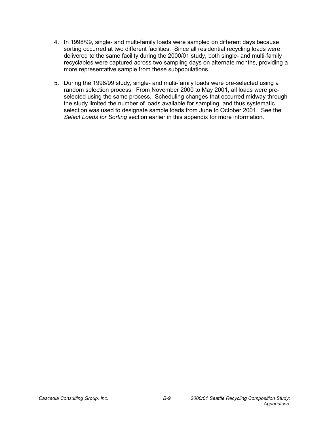- 4. In 1998/99, single- and multi-family loads were sampled on different days because sorting occurred at two different facilities. Since all residential recycling loads were delivered to the same facility during the 2000/01 study, both single- and multi-family recyclables were captured across two sampling days on alternate months, providing a more representative sample from these subpopulations.
- 5. During the 1998/99 study, single- and multi-family loads were pre-selected using a random selection process. From November 2000 to May 2001, all loads were preselected using the same process. Scheduling changes that occurred midway through the study limited the number of loads available for sampling, and thus systematic selection was used to designate sample loads from June to October 2001. See the *Select Loads for Sorting* section earlier in this appendix for more information.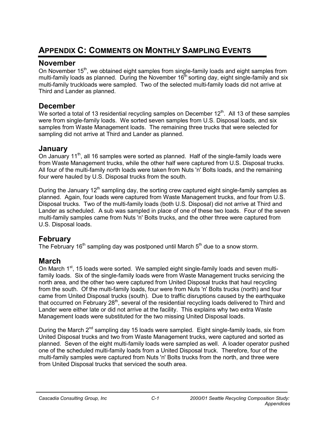# **APPENDIX C: COMMENTS ON MONTHLY SAMPLING EVENTS**

### **November**

On November  $15<sup>th</sup>$ , we obtained eight samples from single-family loads and eight samples from multi-family loads as planned. During the November  $16<sup>th</sup>$  sorting day, eight single-family and six multi-family truckloads were sampled. Two of the selected multi-family loads did not arrive at Third and Lander as planned.

### **December**

We sorted a total of 13 residential recycling samples on December  $12<sup>th</sup>$ . All 13 of these samples were from single-family loads. We sorted seven samples from U.S. Disposal loads, and six samples from Waste Management loads. The remaining three trucks that were selected for sampling did not arrive at Third and Lander as planned.

### **January**

On January 11<sup>th</sup>, all 16 samples were sorted as planned. Half of the single-family loads were from Waste Management trucks, while the other half were captured from U.S. Disposal trucks. All four of the multi-family north loads were taken from Nuts 'n' Bolts loads, and the remaining four were hauled by U.S. Disposal trucks from the south.

During the January  $12<sup>th</sup>$  sampling day, the sorting crew captured eight single-family samples as planned. Again, four loads were captured from Waste Management trucks, and four from U.S. Disposal trucks. Two of the multi-family loads (both U.S. Disposal) did not arrive at Third and Lander as scheduled. A sub was sampled in place of one of these two loads. Four of the seven multi-family samples came from Nuts 'n' Bolts trucks, and the other three were captured from U.S. Disposal loads.

### **February**

The February 16<sup>th</sup> sampling day was postponed until March  $5<sup>th</sup>$  due to a snow storm.

### **March**

On March 1<sup>st</sup>, 15 loads were sorted. We sampled eight single-family loads and seven multifamily loads. Six of the single-family loads were from Waste Management trucks servicing the north area, and the other two were captured from United Disposal trucks that haul recycling from the south. Of the multi-family loads, four were from Nuts 'n' Bolts trucks (north) and four came from United Disposal trucks (south). Due to traffic disruptions caused by the earthquake that occurred on February  $28<sup>th</sup>$ , several of the residential recycling loads delivered to Third and Lander were either late or did not arrive at the facility. This explains why two extra Waste Management loads were substituted for the two missing United Disposal loads.

During the March  $2^{nd}$  sampling day 15 loads were sampled. Eight single-family loads, six from United Disposal trucks and two from Waste Management trucks, were captured and sorted as planned. Seven of the eight multi-family loads were sampled as well. A loader operator pushed one of the scheduled multi-family loads from a United Disposal truck. Therefore, four of the multi-family samples were captured from Nuts 'n' Bolts trucks from the north, and three were from United Disposal trucks that serviced the south area.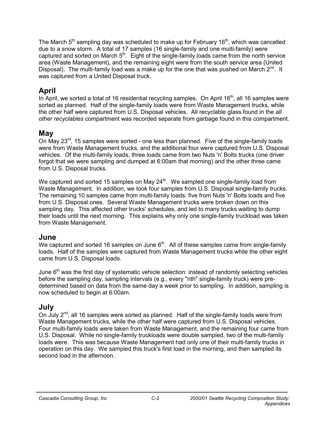The March  $5<sup>th</sup>$  sampling day was scheduled to make up for February 16<sup>th</sup>, which was cancelled due to a snow storm. A total of 17 samples (16 single-family and one multi-family) were captured and sorted on March  $5<sup>th</sup>$ . Eight of the single-family loads came from the north service area (Waste Management), and the remaining eight were from the south service area (United Disposal). The multi-family load was a make up for the one that was pushed on March  $2^{nd}$ . It was captured from a United Disposal truck.

### **April**

In April, we sorted a total of 16 residential recycling samples. On April  $16<sup>th</sup>$ , all 16 samples were sorted as planned. Half of the single-family loads were from Waste Management trucks, while the other half were captured from U.S. Disposal vehicles. All recyclable glass found in the *all other recyclables* compartment was recorded separate from garbage found in this compartment.

### **May**

On May  $23^{\text{rd}}$ , 15 samples were sorted - one less than planned. Five of the single-family loads were from Waste Management trucks, and the additional four were captured from U.S. Disposal vehicles. Of the multi-family loads, three loads came from two Nuts 'n' Bolts trucks (one driver forgot that we were sampling and dumped at 6:00am that morning) and the other three came from U.S. Disposal trucks.

We captured and sorted 15 samples on May  $24<sup>th</sup>$ . We sampled one single-family load from Waste Management. In addition, we took four samples from U.S. Disposal single-family trucks. The remaining 10 samples came from multi-family loads: five from Nuts 'n' Bolts loads and five from U.S. Disposal ones. Several Waste Management trucks were broken down on this sampling day. This affected other trucks' schedules, and led to many trucks waiting to dump their loads until the next morning. This explains why only one single-family truckload was taken from Waste Management.

### **June**

We captured and sorted 16 samples on June  $6<sup>th</sup>$ . All of these samples came from single-family loads. Half of the samples were captured from Waste Management trucks while the other eight came from U.S. Disposal loads.

June  $6<sup>th</sup>$  was the first day of systematic vehicle selection: instead of randomly selecting vehicles before the sampling day, sampling intervals (e.g., every "nth" single-family truck) were predetermined based on data from the same day a week prior to sampling. In addition, sampling is now scheduled to begin at 6:00am.

### **July**

On July  $2^{nd}$ , all 16 samples were sorted as planned. Half of the single-family loads were from Waste Management trucks, while the other half were captured from U.S. Disposal vehicles. Four multi-family loads were taken from Waste Management, and the remaining four came from U.S. Disposal. While no single-family truckloads were double sampled, two of the multi-family loads were. This was because Waste Management had only one of their multi-family trucks in operation on this day. We sampled this truck's first load in the morning, and then sampled its second load in the afternoon.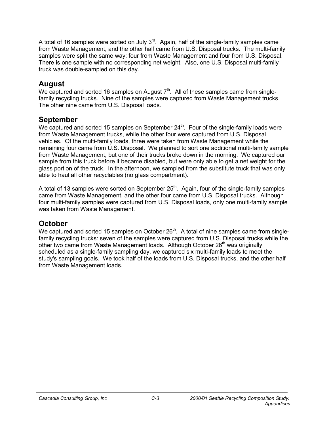A total of 16 samples were sorted on July 3<sup>rd</sup>. Again, half of the single-family samples came from Waste Management, and the other half came from U.S. Disposal trucks. The multi-family samples were split the same way: four from Waste Management and four from U.S. Disposal. There is one sample with no corresponding net weight. Also, one U.S. Disposal multi-family truck was double-sampled on this day.

### **August**

We captured and sorted 16 samples on August  $7<sup>th</sup>$ . All of these samples came from singlefamily recycling trucks. Nine of the samples were captured from Waste Management trucks. The other nine came from U.S. Disposal loads.

### **September**

We captured and sorted 15 samples on September  $24<sup>th</sup>$ . Four of the single-family loads were from Waste Management trucks, while the other four were captured from U.S. Disposal vehicles. Of the multi-family loads, three were taken from Waste Management while the remaining four came from U.S. Disposal. We planned to sort one additional multi-family sample from Waste Management, but one of their trucks broke down in the morning. We captured our sample from this truck before it became disabled, but were only able to get a net weight for the glass portion of the truck. In the afternoon, we sampled from the substitute truck that was only able to haul all other recyclables (no glass compartment).

A total of 13 samples were sorted on September  $25<sup>th</sup>$ . Again, four of the single-family samples came from Waste Management, and the other four came from U.S. Disposal trucks. Although four multi-family samples were captured from U.S. Disposal loads, only one multi-family sample was taken from Waste Management.

### **October**

We captured and sorted 15 samples on October 26<sup>th</sup>. A total of nine samples came from singlefamily recycling trucks: seven of the samples were captured from U.S. Disposal trucks while the other two came from Waste Management loads. Although October  $26<sup>th</sup>$  was originally scheduled as a single-family sampling day, we captured six multi-family loads to meet the study's sampling goals. We took half of the loads from U.S. Disposal trucks, and the other half from Waste Management loads.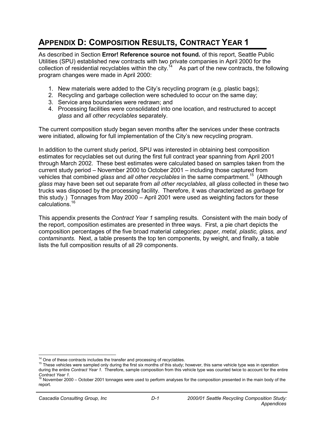# **APPENDIX D: COMPOSITION RESULTS, CONTRACT YEAR 1**

As described in Section **Error! Reference source not found.** of this report, Seattle Public Utilities (SPU) established new contracts with two private companies in April 2000 for the collection of residential recyclables within the city.<sup>14</sup> As part of the new contracts, the following program changes were made in April 2000:

- 1. New materials were added to the City's recycling program (e.g. plastic bags);
- 2. Recycling and garbage collection were scheduled to occur on the same day;
- 3. Service area boundaries were redrawn; and
- 4. Processing facilities were consolidated into one location, and restructured to accept *glass* and *all other recyclables* separately.

The current composition study began seven months after the services under these contracts were initiated, allowing for full implementation of the City's new recycling program.

In addition to the current study period, SPU was interested in obtaining best composition estimates for recyclables set out during the first full contract year spanning from April 2001 through March 2002. These best estimates were calculated based on samples taken from the current study period – November 2000 to October 2001 – including those captured from vehicles that combined *glass* and *all other recyclables* in the same compartment.<sup>15</sup> (Although *glass* may have been set out separate from *all other recyclables*, all *glass* collected in these two trucks was disposed by the processing facility. Therefore, it was characterized as *garbage* for this study.) Tonnages from May 2000 – April 2001 were used as weighting factors for these calculations.16

This appendix presents the *Contract Year 1* sampling results. Consistent with the main body of the report, composition estimates are presented in three ways. First, a pie chart depicts the composition percentages of the five broad material categories: *paper, metal, plastic, glass, and contaminants.* Next, a table presents the top ten components, by weight, and finally, a table lists the full composition results of all 29 components.

<sup>&</sup>lt;sup>14</sup> One of these contracts includes the transfer and processing of recyclables.<br><sup>15</sup> These vehicles were sampled only during the first six months of this study; however, this same vehicle type was in operation during the entire *Contract Year 1.* Therefore, sample composition from this vehicle type was counted twice to account for the entire

*Contract Year 1.*<br><sup>16</sup> November 2000 – October 2001 tonnages were used to perform analyses for the composition presented in the main body of the report.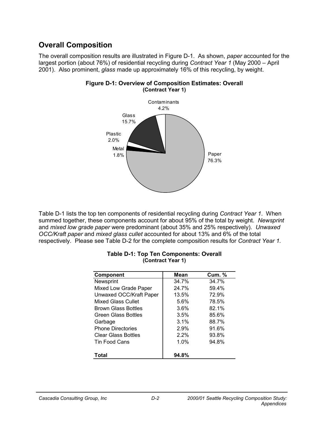### **Overall Composition**

The overall composition results are illustrated in Figure D-1. As shown, *paper* accounted for the largest portion (about 76%) of residential recycling during *Contract Year 1* (May 2000 – April 2001). Also prominent, *glass* made up approximately 16% of this recycling, by weight.



### **Figure D-1: Overview of Composition Estimates: Overall (Contract Year 1)**

Table D-1 lists the top ten components of residential recycling during *Contract Year 1*. When summed together, these components account for about 95% of the total by weight. *Newsprint*  and *mixed low grade paper* were predominant (about 35% and 25% respectively). *Unwaxed OCC/Kraft paper* and *mixed glass cullet* accounted for about 13% and 6% of the total respectively. Please see Table D-2 for the complete composition results for *Contract Year 1.*

| <b>Component</b>           | <b>Mean</b> | <b>Cum. %</b> |
|----------------------------|-------------|---------------|
| Newsprint                  | 34.7%       | 34.7%         |
| Mixed Low Grade Paper      | 24.7%       | 59.4%         |
| Unwaxed OCC/Kraft Paper    | 13.5%       | 72.9%         |
| <b>Mixed Glass Cullet</b>  | 5.6%        | 78.5%         |
| <b>Brown Glass Bottles</b> | 3.6%        | 82.1%         |
| <b>Green Glass Bottles</b> | 3.5%        | 85.6%         |
| Garbage                    | 3.1%        | 88.7%         |
| <b>Phone Directories</b>   | 2.9%        | 91.6%         |
| <b>Clear Glass Bottles</b> | 2.2%        | 93.8%         |
| Tin Food Cans              | 1.0%        | 94.8%         |
| Total                      | 94.8%       |               |

#### **Table D-1: Top Ten Components: Overall (Contract Year 1)**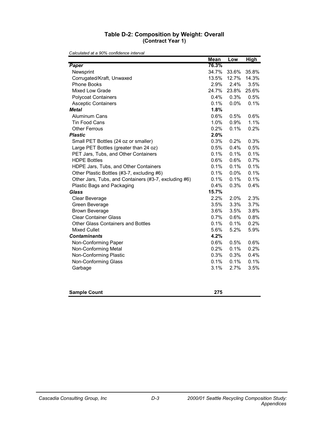### **Table D-2: Composition by Weight: Overall (Contract Year 1)**

|                                                       | <b>Mean</b> | Low   | <b>High</b> |
|-------------------------------------------------------|-------------|-------|-------------|
| Paper                                                 | 76.3%       |       |             |
| Newsprint                                             | 34.7%       | 33.6% | 35.8%       |
| Corrugated/Kraft, Unwaxed                             | 13.5%       | 12.7% | 14.3%       |
| <b>Phone Books</b>                                    | 2.9%        | 2.4%  | 3.5%        |
| Mixed Low Grade                                       | 24.7%       | 23.8% | 25.6%       |
| <b>Polycoat Containers</b>                            | 0.4%        | 0.3%  | 0.5%        |
| <b>Asceptic Containers</b>                            | 0.1%        | 0.0%  | 0.1%        |
| <b>Metal</b>                                          | 1.8%        |       |             |
| Aluminum Cans                                         | 0.6%        | 0.5%  | 0.6%        |
| Tin Food Cans                                         | 1.0%        | 0.9%  | 1.1%        |
| <b>Other Ferrous</b>                                  | 0.2%        | 0.1%  | 0.2%        |
| <b>Plastic</b>                                        | 2.0%        |       |             |
| Small PET Bottles (24 oz or smaller)                  | 0.3%        | 0.2%  | 0.3%        |
| Large PET Bottles (greater than 24 oz)                | 0.5%        | 0.4%  | 0.5%        |
| PET Jars, Tubs, and Other Containers                  | 0.1%        | 0.1%  | 0.1%        |
| <b>HDPE Bottles</b>                                   | 0.6%        | 0.6%  | 0.7%        |
| HDPE Jars, Tubs, and Other Containers                 | 0.1%        | 0.1%  | 0.1%        |
| Other Plastic Bottles (#3-7, excluding #6)            | 0.1%        | 0.0%  | 0.1%        |
| Other Jars, Tubs, and Containers (#3-7, excluding #6) | 0.1%        | 0.1%  | 0.1%        |
| Plastic Bags and Packaging                            | 0.4%        | 0.3%  | 0.4%        |
| <b>Glass</b>                                          | 15.7%       |       |             |
| Clear Beverage                                        | 2.2%        | 2.0%  | 2.3%        |
| Green Beverage                                        | 3.5%        | 3.3%  | 3.7%        |
| <b>Brown Beverage</b>                                 | 3.6%        | 3.5%  | 3.8%        |
| <b>Clear Container Glass</b>                          | 0.7%        | 0.6%  | 0.8%        |
| <b>Other Glass Containers and Bottles</b>             | 0.1%        | 0.1%  | 0.2%        |
| <b>Mixed Cullet</b>                                   | 5.6%        | 5.2%  | 5.9%        |
| <b>Contaminants</b>                                   | 4.2%        |       |             |
| Non-Conforming Paper                                  | $0.6\%$     | 0.5%  | 0.6%        |
| Non-Conforming Metal                                  | 0.2%        | 0.1%  | 0.2%        |
| Non-Conforming Plastic                                | 0.3%        | 0.3%  | 0.4%        |
| Non-Conforming Glass                                  | 0.1%        | 0.1%  | 0.1%        |
| Garbage                                               | 3.1%        | 2.7%  | 3.5%        |
| <b>Sample Count</b>                                   | 275         |       |             |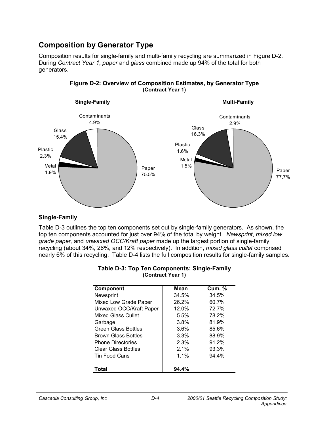### **Composition by Generator Type**

Composition results for single-family and multi-family recycling are summarized in Figure D-2. During *Contract Year 1*, *paper* and *glass* combined made up 94% of the total for both generators.





### **Single-Family**

Table D-3 outlines the top ten components set out by single-family generators. As shown, the top ten components accounted for just over 94% of the total by weight. *Newsprint*, *mixed low grade paper,* and *unwaxed OCC/Kraft paper* made up the largest portion of single-family recycling (about 34%, 26%, and 12% respectively). In addition, *mixed glass cullet* comprised nearly 6% of this recycling. Table D-4 lists the full composition results for single-family samples.

| <b>Component</b>           | Mean  | <b>Cum. %</b> |
|----------------------------|-------|---------------|
| Newsprint                  | 34.5% | 34.5%         |
| Mixed Low Grade Paper      | 26.2% | 60.7%         |
| Unwaxed OCC/Kraft Paper    | 12.0% | 72.7%         |
| Mixed Glass Cullet         | 5.5%  | 78.2%         |
| Garbage                    | 3.8%  | 81.9%         |
| <b>Green Glass Bottles</b> | 3.6%  | 85.6%         |
| <b>Brown Glass Bottles</b> | 3.3%  | 88.9%         |
| <b>Phone Directories</b>   | 2.3%  | 91.2%         |
| <b>Clear Glass Bottles</b> | 2.1%  | 93.3%         |
| Tin Food Cans              | 1.1%  | 94.4%         |
| Total                      | 94.4% |               |

| <b>Table D-3: Top Ten Components: Single-Family</b> |
|-----------------------------------------------------|
| (Contract Year 1)                                   |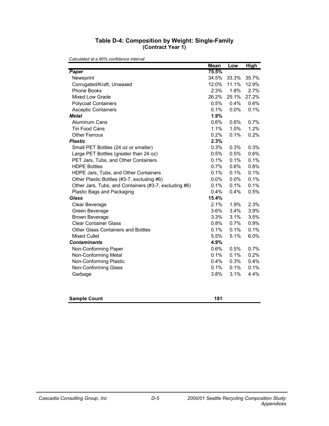| Table D-4: Composition by Weight: Single-Family |  |
|-------------------------------------------------|--|
| (Contract Year 1)                               |  |

|                                                       | <b>Mean</b> | Low   | <b>High</b> |
|-------------------------------------------------------|-------------|-------|-------------|
| Paper                                                 | 75.5%       |       |             |
| Newsprint                                             | 34.5%       | 33.3% | 35.7%       |
| Corrugated/Kraft, Unwaxed                             | 12.0%       | 11.1% | 12.9%       |
| Phone Books                                           | 2.3%        | 1.8%  | 2.7%        |
| Mixed Low Grade                                       | 26.2%       | 25.1% | 27.2%       |
| <b>Polycoat Containers</b>                            | 0.5%        | 0.4%  | 0.6%        |
| <b>Asceptic Containers</b>                            | 0.1%        | 0.0%  | 0.1%        |
| <b>Metal</b>                                          | 1.9%        |       |             |
| <b>Aluminum Cans</b>                                  | 0.6%        | 0.6%  | 0.7%        |
| <b>Tin Food Cans</b>                                  | 1.1%        | 1.0%  | 1.2%        |
| <b>Other Ferrous</b>                                  | 0.2%        | 0.1%  | 0.2%        |
| <b>Plastic</b>                                        | 2.3%        |       |             |
| Small PET Bottles (24 oz or smaller)                  | 0.3%        | 0.3%  | 0.3%        |
| Large PET Bottles (greater than 24 oz)                | 0.5%        | 0.5%  | 0.6%        |
| PET Jars, Tubs, and Other Containers                  | 0.1%        | 0.1%  | 0.1%        |
| <b>HDPE Bottles</b>                                   | 0.7%        | 0.6%  | 0.8%        |
| HDPE Jars, Tubs, and Other Containers                 | 0.1%        | 0.1%  | 0.1%        |
| Other Plastic Bottles (#3-7, excluding #6)            | 0.0%        | 0.0%  | 0.1%        |
| Other Jars, Tubs, and Containers (#3-7, excluding #6) | 0.1%        | 0.1%  | 0.1%        |
| Plastic Bags and Packaging                            | 0.4%        | 0.4%  | 0.5%        |
| <b>Glass</b>                                          | 15.4%       |       |             |
| Clear Beverage                                        | 2.1%        | 1.9%  | 2.3%        |
| Green Beverage                                        | 3.6%        | 3.4%  | 3.9%        |
| <b>Brown Beverage</b>                                 | 3.3%        | 3.1%  | 3.5%        |
| <b>Clear Container Glass</b>                          | 0.8%        | 0.7%  | 0.9%        |
| Other Glass Containers and Bottles                    | 0.1%        | 0.1%  | 0.1%        |
| Mixed Cullet                                          | 5.5%        | 5.1%  | 6.0%        |
| <b>Contaminants</b>                                   | 4.9%        |       |             |
| Non-Conforming Paper                                  | 0.6%        | 0.5%  | 0.7%        |
| Non-Conforming Metal                                  | 0.1%        | 0.1%  | 0.2%        |
| Non-Conforming Plastic                                | 0.4%        | 0.3%  | 0.4%        |
| Non-Conforming Glass                                  | 0.1%        | 0.1%  | 0.1%        |
| Garbage                                               | 3.8%        | 3.1%  | 4.4%        |
| <b>Sample Count</b>                                   | 181         |       |             |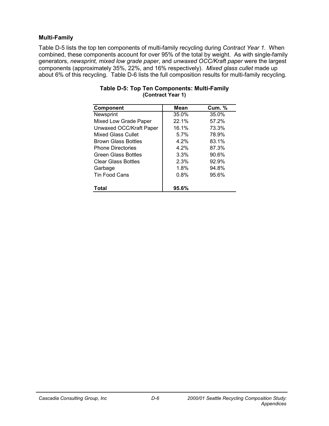### **Multi-Family**

Table D-5 lists the top ten components of multi-family recycling during *Contract Year 1*. When combined, these components account for over 95% of the total by weight. As with single-family generators, *newsprint, mixed low grade paper*, and *unwaxed OCC/Kraft paper* were the largest components (approximately 35%, 22%, and 16% respectively). *Mixed glass cullet* made up about 6% of this recycling. Table D-6 lists the full composition results for multi-family recycling.

| Component                  | Mean  | <b>Cum. %</b> |
|----------------------------|-------|---------------|
| Newsprint                  | 35.0% | 35.0%         |
| Mixed Low Grade Paper      | 22.1% | 57.2%         |
| Unwaxed OCC/Kraft Paper    | 16.1% | 73.3%         |
| <b>Mixed Glass Cullet</b>  | 5.7%  | 78.9%         |
| <b>Brown Glass Bottles</b> | 4.2%  | 83.1%         |
| <b>Phone Directories</b>   | 4.2%  | 87.3%         |
| <b>Green Glass Bottles</b> | 3.3%  | 90.6%         |
| <b>Clear Glass Bottles</b> | 2.3%  | 92.9%         |
| Garbage                    | 1.8%  | 94.8%         |
| Tin Food Cans              | 0.8%  | 95.6%         |
| Total                      | 95.6% |               |

#### **Table D-5: Top Ten Components: Multi-Family (Contract Year 1)**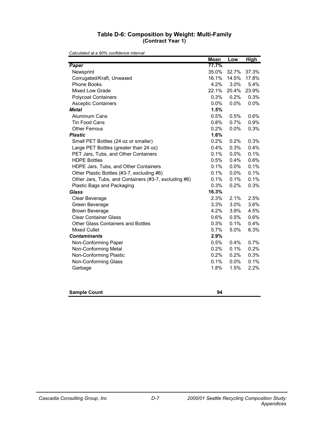### **Table D-6: Composition by Weight: Multi-Family (Contract Year 1)**

|                                                       | <b>Mean</b> | Low   | <b>High</b> |
|-------------------------------------------------------|-------------|-------|-------------|
| Paper                                                 | 77.7%       |       |             |
| Newsprint                                             | 35.0%       | 32.7% | 37.3%       |
| Corrugated/Kraft, Unwaxed                             | 16.1%       | 14.5% | 17.8%       |
| Phone Books                                           | 4.2%        | 3.0%  | 5.4%        |
| Mixed Low Grade                                       | 22.1%       | 20.4% | 23.9%       |
| <b>Polycoat Containers</b>                            | 0.3%        | 0.2%  | 0.3%        |
| <b>Asceptic Containers</b>                            | 0.0%        | 0.0%  | 0.0%        |
| <b>Metal</b>                                          | 1.5%        |       |             |
| <b>Aluminum Cans</b>                                  | 0.5%        | 0.5%  | 0.6%        |
| <b>Tin Food Cans</b>                                  | 0.8%        | 0.7%  | 0.9%        |
| <b>Other Ferrous</b>                                  | 0.2%        | 0.0%  | 0.3%        |
| <b>Plastic</b>                                        | 1.6%        |       |             |
| Small PET Bottles (24 oz or smaller)                  | 0.2%        | 0.2%  | 0.3%        |
| Large PET Bottles (greater than 24 oz)                | 0.4%        | 0.3%  | 0.4%        |
| PET Jars, Tubs, and Other Containers                  | 0.1%        | 0.0%  | 0.1%        |
| <b>HDPE Bottles</b>                                   | 0.5%        | 0.4%  | 0.6%        |
| HDPE Jars, Tubs, and Other Containers                 | 0.1%        | 0.0%  | 0.1%        |
| Other Plastic Bottles (#3-7, excluding #6)            | 0.1%        | 0.0%  | 0.1%        |
| Other Jars, Tubs, and Containers (#3-7, excluding #6) | 0.1%        | 0.1%  | 0.1%        |
| Plastic Bags and Packaging                            | 0.3%        | 0.2%  | 0.3%        |
| <b>Glass</b>                                          | 16.3%       |       |             |
| Clear Beverage                                        | 2.3%        | 2.1%  | 2.5%        |
| Green Beverage                                        | 3.3%        | 3.0%  | 3.6%        |
| <b>Brown Beverage</b>                                 | 4.2%        | 3.9%  | 4.5%        |
| <b>Clear Container Glass</b>                          | 0.6%        | 0.5%  | 0.6%        |
| <b>Other Glass Containers and Bottles</b>             | 0.3%        | 0.1%  | 0.4%        |
| <b>Mixed Cullet</b>                                   | 5.7%        | 5.0%  | 6.3%        |
| <b>Contaminants</b>                                   | 2.9%        |       |             |
| Non-Conforming Paper                                  | 0.5%        | 0.4%  | 0.7%        |
| Non-Conforming Metal                                  | 0.2%        | 0.1%  | 0.2%        |
| Non-Conforming Plastic                                | 0.2%        | 0.2%  | 0.3%        |
| Non-Conforming Glass                                  | 0.1%        | 0.0%  | 0.1%        |
| Garbage                                               | 1.8%        | 1.5%  | 2.2%        |
|                                                       |             |       |             |
|                                                       |             |       |             |
|                                                       |             |       |             |

| <b>Sample Count</b><br>94 |
|---------------------------|
|---------------------------|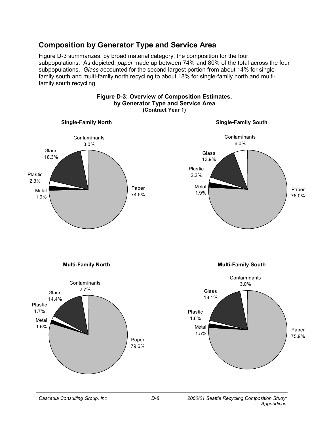### **Composition by Generator Type and Service Area**

Figure D-3 summarizes, by broad material category, the composition for the four subpopulations. As depicted, *paper* made up between 74% and 80% of the total across the four subpopulations. *Glass* accounted for the second largest portion from about 14% for singlefamily south and multi-family north recycling to about 18% for single-family north and multifamily south recycling.

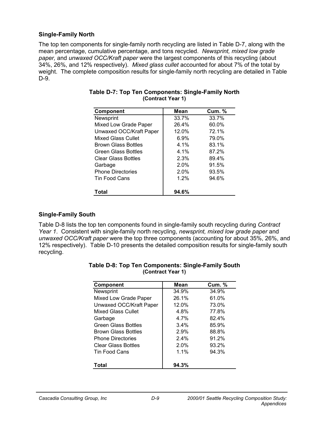### **Single-Family North**

The top ten components for single-family north recycling are listed in Table D-7, along with the mean percentage, cumulative percentage, and tons recycled. *Newsprint, mixed low grade paper,* and *unwaxed OCC/Kraft paper* were the largest components of this recycling (about 34%, 26%, and 12% respectively). *Mixed glass cullet* accounted for about 7% of the total by weight. The complete composition results for single-family north recycling are detailed in Table D-9.

| <b>Component</b>           | <b>Mean</b> | <b>Cum. %</b> |
|----------------------------|-------------|---------------|
| Newsprint                  | 33.7%       | 33.7%         |
| Mixed Low Grade Paper      | 26.4%       | 60.0%         |
| Unwaxed OCC/Kraft Paper    | 12.0%       | 72.1%         |
| <b>Mixed Glass Cullet</b>  | $6.9\%$     | 79.0%         |
| <b>Brown Glass Bottles</b> | 4.1%        | 83.1%         |
| <b>Green Glass Bottles</b> | 4.1%        | 87.2%         |
| <b>Clear Glass Bottles</b> | 2.3%        | 89.4%         |
| Garbage                    | 2.0%        | 91.5%         |
| <b>Phone Directories</b>   | 2.0%        | 93.5%         |
| Tin Food Cans              | 1.2%        | 94.6%         |
| Total                      | 94.6%       |               |

#### **Table D-7: Top Ten Components: Single-Family North (Contract Year 1)**

### **Single-Family South**

Table D-8 lists the top ten components found in single-family south recycling during *Contract Year 1*. Consistent with single-family north recycling, *newsprint, mixed low grade paper* and *unwaxed OCC/Kraft paper* were the top three components (accounting for about 35%, 26%, and 12% respectively). Table D-10 presents the detailed composition results for single-family south recycling.

| <b>Component</b>           | Mean  | <b>Cum. %</b> |
|----------------------------|-------|---------------|
| Newsprint                  | 34.9% | 34.9%         |
| Mixed Low Grade Paper      | 26.1% | 61.0%         |
| Unwaxed OCC/Kraft Paper    | 12.0% | 73.0%         |
| <b>Mixed Glass Cullet</b>  | 4.8%  | 77.8%         |
| Garbage                    | 4.7%  | 82.4%         |
| <b>Green Glass Bottles</b> | 3.4%  | 85.9%         |
| <b>Brown Glass Bottles</b> | 2.9%  | 88.8%         |
| <b>Phone Directories</b>   | 2.4%  | 91.2%         |
| <b>Clear Glass Bottles</b> | 2.0%  | 93.2%         |
| Tin Food Cans              | 1.1%  | 94.3%         |
| Total                      | 94.3% |               |

### **Table D-8: Top Ten Components: Single-Family South (Contract Year 1)**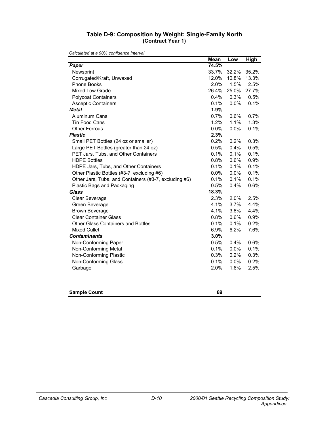### **Table D-9: Composition by Weight: Single-Family North (Contract Year 1)**

|                                                       | <b>Mean</b> | Low   | <b>High</b> |
|-------------------------------------------------------|-------------|-------|-------------|
| Paper                                                 | 74.5%       |       |             |
| Newsprint                                             | 33.7%       | 32.2% | 35.2%       |
| Corrugated/Kraft, Unwaxed                             | 12.0%       | 10.8% | 13.3%       |
| <b>Phone Books</b>                                    | 2.0%        | 1.5%  | 2.5%        |
| Mixed Low Grade                                       | 26.4%       | 25.0% | 27.7%       |
| <b>Polycoat Containers</b>                            | 0.4%        | 0.3%  | 0.5%        |
| <b>Asceptic Containers</b>                            | 0.1%        | 0.0%  | 0.1%        |
| <b>Metal</b>                                          | 1.9%        |       |             |
| Aluminum Cans                                         | 0.7%        | 0.6%  | 0.7%        |
| <b>Tin Food Cans</b>                                  | 1.2%        | 1.1%  | 1.3%        |
| <b>Other Ferrous</b>                                  | $0.0\%$     | 0.0%  | 0.1%        |
| <b>Plastic</b>                                        | 2.3%        |       |             |
| Small PET Bottles (24 oz or smaller)                  | 0.2%        | 0.2%  | 0.3%        |
| Large PET Bottles (greater than 24 oz)                | 0.5%        | 0.4%  | 0.5%        |
| PET Jars, Tubs, and Other Containers                  | 0.1%        | 0.1%  | 0.1%        |
| <b>HDPE Bottles</b>                                   | 0.8%        | 0.6%  | 0.9%        |
| HDPE Jars, Tubs, and Other Containers                 | 0.1%        | 0.1%  | 0.1%        |
| Other Plastic Bottles (#3-7, excluding #6)            | 0.0%        | 0.0%  | 0.1%        |
| Other Jars, Tubs, and Containers (#3-7, excluding #6) | 0.1%        | 0.1%  | 0.1%        |
| Plastic Bags and Packaging                            | 0.5%        | 0.4%  | 0.6%        |
| <b>Glass</b>                                          | 18.3%       |       |             |
| Clear Beverage                                        | 2.3%        | 2.0%  | 2.5%        |
| Green Beverage                                        | 4.1%        | 3.7%  | 4.4%        |
| <b>Brown Beverage</b>                                 | 4.1%        | 3.8%  | 4.4%        |
| <b>Clear Container Glass</b>                          | 0.8%        | 0.6%  | 0.9%        |
| <b>Other Glass Containers and Bottles</b>             | 0.1%        | 0.1%  | 0.2%        |
| <b>Mixed Cullet</b>                                   | 6.9%        | 6.2%  | 7.6%        |
| <b>Contaminants</b>                                   | 3.0%        |       |             |
| Non-Conforming Paper                                  | 0.5%        | 0.4%  | 0.6%        |
| Non-Conforming Metal                                  | 0.1%        | 0.0%  | 0.1%        |
| Non-Conforming Plastic                                | 0.3%        | 0.2%  | 0.3%        |
| Non-Conforming Glass                                  | 0.1%        | 0.0%  | 0.2%        |
| Garbage                                               | 2.0%        | 1.6%  | 2.5%        |
|                                                       |             |       |             |
|                                                       |             |       |             |
|                                                       |             |       |             |

| <b>Sample Count</b> |  |
|---------------------|--|
|---------------------|--|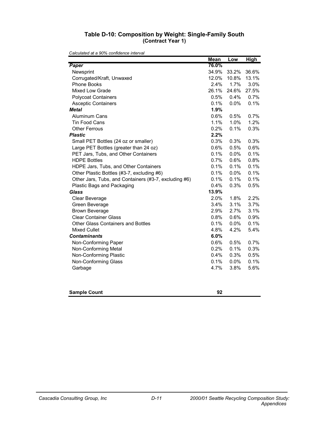### **Table D-10: Composition by Weight: Single-Family South (Contract Year 1)**

|                                                       | <b>Mean</b> | Low   | <b>High</b> |
|-------------------------------------------------------|-------------|-------|-------------|
| Paper                                                 | 76.0%       |       |             |
| Newsprint                                             | 34.9%       | 33.2% | 36.6%       |
| Corrugated/Kraft, Unwaxed                             | 12.0%       | 10.8% | 13.1%       |
| Phone Books                                           | 2.4%        | 1.7%  | 3.0%        |
| Mixed Low Grade                                       | 26.1%       | 24.6% | 27.5%       |
| <b>Polycoat Containers</b>                            | 0.5%        | 0.4%  | 0.7%        |
| <b>Asceptic Containers</b>                            | 0.1%        | 0.0%  | 0.1%        |
| <b>Metal</b>                                          | 1.9%        |       |             |
| <b>Aluminum Cans</b>                                  | 0.6%        | 0.5%  | 0.7%        |
| <b>Tin Food Cans</b>                                  | 1.1%        | 1.0%  | 1.2%        |
| <b>Other Ferrous</b>                                  | 0.2%        | 0.1%  | 0.3%        |
| <b>Plastic</b>                                        | 2.2%        |       |             |
| Small PET Bottles (24 oz or smaller)                  | 0.3%        | 0.3%  | 0.3%        |
| Large PET Bottles (greater than 24 oz)                | 0.6%        | 0.5%  | 0.6%        |
| PET Jars, Tubs, and Other Containers                  | 0.1%        | 0.0%  | 0.1%        |
| <b>HDPE Bottles</b>                                   | 0.7%        | 0.6%  | 0.8%        |
| HDPE Jars, Tubs, and Other Containers                 | 0.1%        | 0.1%  | 0.1%        |
| Other Plastic Bottles (#3-7, excluding #6)            | 0.1%        | 0.0%  | 0.1%        |
| Other Jars, Tubs, and Containers (#3-7, excluding #6) | 0.1%        | 0.1%  | 0.1%        |
| Plastic Bags and Packaging                            | 0.4%        | 0.3%  | 0.5%        |
| <b>Glass</b>                                          | 13.9%       |       |             |
| Clear Beverage                                        | 2.0%        | 1.8%  | 2.2%        |
| Green Beverage                                        | 3.4%        | 3.1%  | 3.7%        |
| <b>Brown Beverage</b>                                 | 2.9%        | 2.7%  | 3.1%        |
| <b>Clear Container Glass</b>                          | 0.8%        | 0.6%  | 0.9%        |
| <b>Other Glass Containers and Bottles</b>             | 0.1%        | 0.0%  | 0.1%        |
| <b>Mixed Cullet</b>                                   | 4.8%        | 4.2%  | 5.4%        |
| <b>Contaminants</b>                                   | 6.0%        |       |             |
| Non-Conforming Paper                                  | 0.6%        | 0.5%  | 0.7%        |
| Non-Conforming Metal                                  | 0.2%        | 0.1%  | 0.3%        |
| Non-Conforming Plastic                                | 0.4%        | 0.3%  | 0.5%        |
| Non-Conforming Glass                                  | 0.1%        | 0.0%  | 0.1%        |
| Garbage                                               | 4.7%        | 3.8%  | 5.6%        |
|                                                       |             |       |             |
|                                                       |             |       |             |
|                                                       |             |       |             |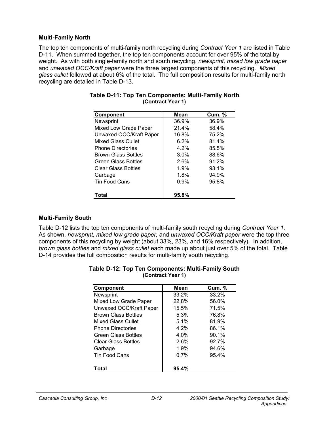### **Multi-Family North**

The top ten components of multi-family north recycling during *Contract Year 1* are listed in Table D-11. When summed together, the top ten components account for over 95% of the total by weight. As with both single-family north and south recycling, *newsprint, mixed low grade paper*  and *unwaxed OCC/Kraft paper* were the three largest components of this recycling. *Mixed glass cullet* followed at about 6% of the total. The full composition results for multi-family north recycling are detailed in Table D-13.

| Component                  | Mean  | <b>Cum. %</b> |
|----------------------------|-------|---------------|
| Newsprint                  | 36.9% | 36.9%         |
| Mixed Low Grade Paper      | 21.4% | 58.4%         |
| Unwaxed OCC/Kraft Paper    | 16.8% | 75.2%         |
| <b>Mixed Glass Cullet</b>  | 6.2%  | 81.4%         |
| <b>Phone Directories</b>   | 4.2%  | 85.5%         |
| <b>Brown Glass Bottles</b> | 3.0%  | 88.6%         |
| <b>Green Glass Bottles</b> | 2.6%  | 91.2%         |
| <b>Clear Glass Bottles</b> | 1.9%  | 93.1%         |
| Garbage                    | 1.8%  | 94.9%         |
| <b>Tin Food Cans</b>       | 0.9%  | 95.8%         |
| Total                      | 95.8% |               |

### **Table D-11: Top Ten Components: Multi-Family North (Contract Year 1)**

### **Multi-Family South**

Table D-12 lists the top ten components of multi-family south recycling during *Contract Year 1*. As shown, *newsprint, mixed low grade paper,* and *unwaxed OCC/Kraft paper* were the top three components of this recycling by weight (about 33%, 23%, and 16% respectively). In addition, *brown glass bottles* and *mixed glass cullet* each made up about just over 5% of the total. Table D-14 provides the full composition results for multi-family south recycling.

| <b>Component</b>           | Mean  | <b>Cum. %</b> |
|----------------------------|-------|---------------|
| Newsprint                  | 33.2% | 33.2%         |
| Mixed Low Grade Paper      | 22.8% | 56.0%         |
| Unwaxed OCC/Kraft Paper    | 15.5% | 71.5%         |
| <b>Brown Glass Bottles</b> | 5.3%  | 76.8%         |
| Mixed Glass Cullet         | 5.1%  | 81.9%         |
| <b>Phone Directories</b>   | 4.2%  | 86.1%         |
| <b>Green Glass Bottles</b> | 4.0%  | 90.1%         |
| <b>Clear Glass Bottles</b> | 2.6%  | 92.7%         |
| Garbage                    | 1.9%  | 94.6%         |
| Tin Food Cans              | 0.7%  | 95.4%         |
| Total                      | 95.4% |               |

#### **Table D-12: Top Ten Components: Multi-Family South (Contract Year 1)**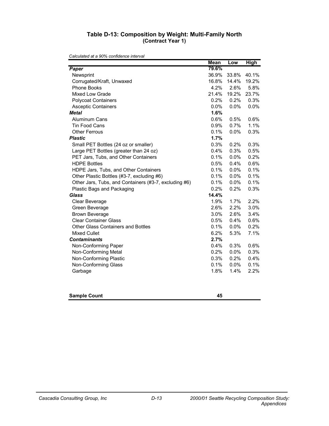#### **Table D-13: Composition by Weight: Multi-Family North (Contract Year 1)**

|                                                       | <b>Mean</b> | Low     | <b>High</b> |
|-------------------------------------------------------|-------------|---------|-------------|
| Paper                                                 | 79.6%       |         |             |
| Newsprint                                             | 36.9%       | 33.8%   | 40.1%       |
| Corrugated/Kraft, Unwaxed                             | 16.8%       | 14.4%   | 19.2%       |
| Phone Books                                           | 4.2%        | 2.6%    | 5.8%        |
| Mixed Low Grade                                       | 21.4%       | 19.2%   | 23.7%       |
| <b>Polycoat Containers</b>                            | 0.2%        | 0.2%    | 0.3%        |
| <b>Asceptic Containers</b>                            | 0.0%        | 0.0%    | 0.0%        |
| <b>Metal</b>                                          | 1.6%        |         |             |
| <b>Aluminum Cans</b>                                  | 0.6%        | 0.5%    | 0.6%        |
| <b>Tin Food Cans</b>                                  | 0.9%        | 0.7%    | 1.1%        |
| <b>Other Ferrous</b>                                  | 0.1%        | 0.0%    | 0.3%        |
| <b>Plastic</b>                                        | 1.7%        |         |             |
| Small PET Bottles (24 oz or smaller)                  | 0.3%        | 0.2%    | 0.3%        |
| Large PET Bottles (greater than 24 oz)                | 0.4%        | 0.3%    | 0.5%        |
| PET Jars, Tubs, and Other Containers                  | 0.1%        | 0.0%    | 0.2%        |
| <b>HDPE Bottles</b>                                   | 0.5%        | 0.4%    | 0.6%        |
| HDPE Jars, Tubs, and Other Containers                 | 0.1%        | 0.0%    | 0.1%        |
| Other Plastic Bottles (#3-7, excluding #6)            | 0.1%        | 0.0%    | 0.1%        |
| Other Jars, Tubs, and Containers (#3-7, excluding #6) | 0.1%        | 0.0%    | 0.1%        |
| Plastic Bags and Packaging                            | 0.2%        | 0.2%    | 0.3%        |
| <b>Glass</b>                                          | 14.4%       |         |             |
| Clear Beverage                                        | 1.9%        | 1.7%    | 2.2%        |
| Green Beverage                                        | 2.6%        | 2.2%    | 3.0%        |
| <b>Brown Beverage</b>                                 | 3.0%        | 2.6%    | 3.4%        |
| <b>Clear Container Glass</b>                          | 0.5%        | 0.4%    | 0.6%        |
| <b>Other Glass Containers and Bottles</b>             | 0.1%        | 0.0%    | 0.2%        |
| <b>Mixed Cullet</b>                                   | 6.2%        | 5.3%    | 7.1%        |
| <b>Contaminants</b>                                   | 2.7%        |         |             |
| Non-Conforming Paper                                  | $0.4\%$     | 0.3%    | 0.6%        |
| Non-Conforming Metal                                  | 0.2%        | 0.0%    | 0.3%        |
| Non-Conforming Plastic                                | 0.3%        | 0.2%    | 0.4%        |
| Non-Conforming Glass                                  | 0.1%        | $0.0\%$ | 0.1%        |
| Garbage                                               | 1.8%        | 1.4%    | 2.2%        |
| <b>Sample Count</b>                                   | 45          |         |             |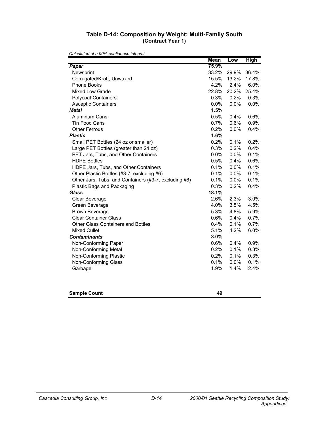#### **Table D-14: Composition by Weight: Multi-Family South (Contract Year 1)**

|                                                       | <b>Mean</b> | Low     | <b>High</b> |
|-------------------------------------------------------|-------------|---------|-------------|
| Paper                                                 | 75.9%       |         |             |
| Newsprint                                             | 33.2%       | 29.9%   | 36.4%       |
| Corrugated/Kraft, Unwaxed                             | 15.5%       | 13.2%   | 17.8%       |
| Phone Books                                           | 4.2%        | 2.4%    | 6.0%        |
| Mixed Low Grade                                       | 22.8%       | 20.2%   | 25.4%       |
| <b>Polycoat Containers</b>                            | 0.3%        | 0.2%    | 0.3%        |
| <b>Asceptic Containers</b>                            | 0.0%        | 0.0%    | 0.0%        |
| <b>Metal</b>                                          | 1.5%        |         |             |
| Aluminum Cans                                         | 0.5%        | 0.4%    | 0.6%        |
| <b>Tin Food Cans</b>                                  | 0.7%        | 0.6%    | 0.9%        |
| <b>Other Ferrous</b>                                  | 0.2%        | 0.0%    | 0.4%        |
| <b>Plastic</b>                                        | 1.6%        |         |             |
| Small PET Bottles (24 oz or smaller)                  | 0.2%        | 0.1%    | 0.2%        |
| Large PET Bottles (greater than 24 oz)                | 0.3%        | 0.2%    | 0.4%        |
| PET Jars, Tubs, and Other Containers                  | 0.0%        | 0.0%    | 0.1%        |
| <b>HDPE Bottles</b>                                   | 0.5%        | 0.4%    | 0.6%        |
| HDPE Jars, Tubs, and Other Containers                 | 0.1%        | 0.0%    | 0.1%        |
| Other Plastic Bottles (#3-7, excluding #6)            | 0.1%        | 0.0%    | 0.1%        |
| Other Jars, Tubs, and Containers (#3-7, excluding #6) | 0.1%        | $0.0\%$ | 0.1%        |
| Plastic Bags and Packaging                            | 0.3%        | 0.2%    | 0.4%        |
| <b>Glass</b>                                          | 18.1%       |         |             |
| Clear Beverage                                        | 2.6%        | 2.3%    | 3.0%        |
| Green Beverage                                        | 4.0%        | 3.5%    | 4.5%        |
| <b>Brown Beverage</b>                                 | 5.3%        | 4.8%    | 5.9%        |
| <b>Clear Container Glass</b>                          | 0.6%        | 0.4%    | 0.7%        |
| <b>Other Glass Containers and Bottles</b>             | $0.4\%$     | 0.1%    | 0.7%        |
| <b>Mixed Cullet</b>                                   | 5.1%        | 4.2%    | 6.0%        |
| <b>Contaminants</b>                                   | 3.0%        |         |             |
| Non-Conforming Paper                                  | 0.6%        | 0.4%    | 0.9%        |
| Non-Conforming Metal                                  | 0.2%        | 0.1%    | 0.3%        |
| Non-Conforming Plastic                                | 0.2%        | 0.1%    | 0.3%        |
| Non-Conforming Glass                                  | 0.1%        | 0.0%    | 0.1%        |
| Garbage                                               | 1.9%        | 1.4%    | 2.4%        |
|                                                       |             |         |             |
|                                                       |             |         |             |

| <b>Sample Count</b> |  |
|---------------------|--|
|                     |  |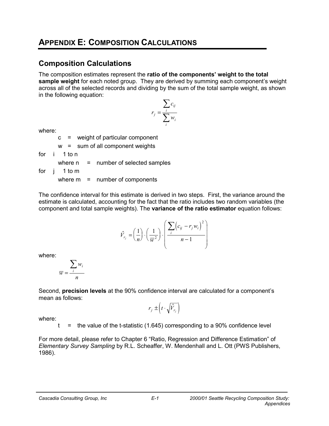# **APPENDIX E: COMPOSITION CALCULATIONS**

### **Composition Calculations**

The composition estimates represent the **ratio of the components' weight to the total sample weight** for each noted group. They are derived by summing each component's weight across all of the selected records and dividing by the sum of the total sample weight, as shown in the following equation:

$$
r_j = \frac{\sum_i c_{ij}}{\sum_i w_i}
$$

where:

c = weight of particular component

w = sum of all component weights

for i 1 to n

where  $n =$  number of selected samples

for j 1 to m

where  $m =$  number of components

The confidence interval for this estimate is derived in two steps. First, the variance around the estimate is calculated, accounting for the fact that the ratio includes two random variables (the component and total sample weights). The **variance of the ratio estimator** equation follows:

$$
\hat{V}_{r_j} = \left(\frac{1}{n}\right) \cdot \left(\frac{1}{\overline{w}^2}\right) \cdot \left(\frac{\sum_i \left(c_{ij} - r_j w_i\right)^2}{n - 1}\right)
$$

where:

$$
\overline{w} = \frac{\sum_i w_i}{n}
$$

Second, **precision levels** at the 90% confidence interval are calculated for a component's mean as follows:

$$
r_j \pm \left(t \cdot \sqrt{\hat{V}_{r_j}}\right)
$$

where:

 $t =$  the value of the t-statistic (1.645) corresponding to a 90% confidence level

For more detail, please refer to Chapter 6 "Ratio, Regression and Difference Estimation" of *Elementary Survey Sampling* by R.L. Scheaffer, W. Mendenhall and L. Ott (PWS Publishers, 1986).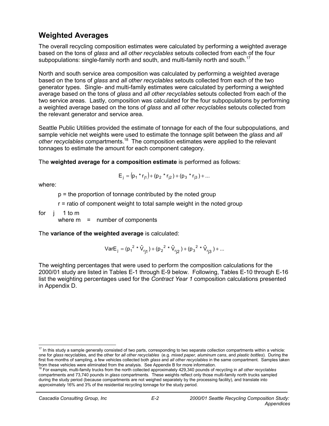### **Weighted Averages**

The overall recycling composition estimates were calculated by performing a weighted average based on the tons of *glass* and *all other recyclables* setouts collected from each of the four subpopulations: single-family north and south, and multi-family north and south.<sup>17</sup>

North and south service area composition was calculated by performing a weighted average based on the tons of *glass* and *all other recyclables* setouts collected from each of the two generator types. Single- and multi-family estimates were calculated by performing a weighted average based on the tons of *glass* and *all other recyclables* setouts collected from each of the two service areas. Lastly, composition was calculated for the four subpopulations by performing a weighted average based on the tons of *glass* and *all other recyclables* setouts collected from the relevant generator and service area.

Seattle Public Utilities provided the estimate of tonnage for each of the four subpopulations, and sample vehicle net weights were used to estimate the tonnage split between the *glass* and *all other recyclables* compartments.18 The composition estimates were applied to the relevant tonnages to estimate the amount for each component category.

The **weighted average for a composition estimate** is performed as follows:

$$
E_j = (p_1 * r_{j1}) + (p_2 * r_{j2}) + (p_3 * r_{j3}) + ...
$$

where:

p = the proportion of tonnage contributed by the noted group

r = ratio of component weight to total sample weight in the noted group

for j 1 to m

where  $m =$  number of components

The **variance of the weighted average** is calculated:

VarE<sub>j</sub> = 
$$
(p_1^2 * \hat{V}_{rj1}) + (p_2^2 * \hat{V}_{rj2}) + (p_3^2 * \hat{V}_{rj3}) + ...
$$

The weighting percentages that were used to perform the composition calculations for the 2000/01 study are listed in Tables E-1 through E-9 below. Following, Tables E-10 through E-16 list the weighting percentages used for the *Contract Year 1* composition calculations presented in Appendix D.

 17 In this study a sample generally consisted of two parts, corresponding to two separate collection compartments within a vehicle: one for *glass* recyclables, and the other for *all other recyclables* (e.g. *mixed paper, aluminum cans*, and *plastic bottles*). During the first five months of sampling, a few vehicles collected both *glass* and *all other recyclables* in the same compartment. Samples taken from these vehicles were eliminated from the analysis. See Appendix B for more information.

<sup>18</sup> For example, multi-family trucks from the north collected approximately 429,340 pounds of recycling in *all other recyclables*  compartments and 73,740 pounds in *glass* compartments. These weights reflect only those multi-family north trucks sampled during the study period (because compartments are not weighed separately by the processing facility), and translate into approximately 16% and 3% of the residential recycling tonnage for the study period.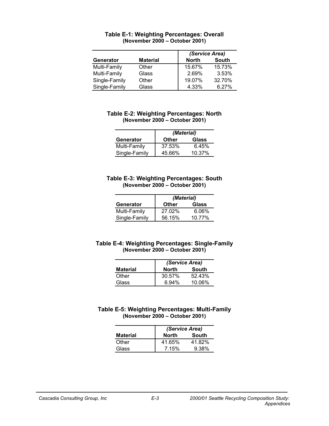|               |                 | (Service Area)        |
|---------------|-----------------|-----------------------|
| Generator     | <b>Material</b> | South<br><b>North</b> |
| Multi-Family  | Other           | 15.73%<br>15.67%      |
| Multi-Family  | Glass           | 3.53%<br>2.69%        |
| Single-Family | Other           | 32.70%<br>19.07%      |
| Single-Family | Glass           | 4.33%<br>6.27%        |

#### **Table E-1: Weighting Percentages: Overall (November 2000 – October 2001)**

#### **Table E-2: Weighting Percentages: North (November 2000 – October 2001)**

|               | (Material)   |        |
|---------------|--------------|--------|
| Generator     | <b>Other</b> | Glass  |
| Multi-Family  | 37.53%       | 6.45%  |
| Single-Family | 45.66%       | 10.37% |

#### **Table E-3: Weighting Percentages: South (November 2000 – October 2001)**

|               | (Material) |        |
|---------------|------------|--------|
| Generator     | Other      | Glass  |
| Multi-Family  | 27.02%     | 6.06%  |
| Single-Family | 56.15%     | 10.77% |

#### **Table E-4: Weighting Percentages: Single-Family (November 2000 – October 2001)**

|                 | (Service Area) |        |
|-----------------|----------------|--------|
| <b>Material</b> | North          | South  |
| Other           | 30.57%         | 52.43% |
| Glass           | 6.94%          | 10.06% |

#### **Table E-5: Weighting Percentages: Multi-Family (November 2000 – October 2001)**

|                 | (Service Area) |              |
|-----------------|----------------|--------------|
| <b>Material</b> | North          | <b>South</b> |
| Other           | 41.65%         | 41.82%       |
| Glass           | 7.15%          | 9.38%        |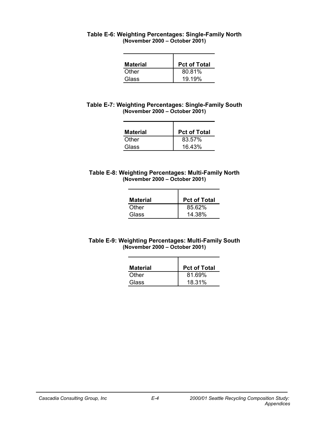| Table E-6: Weighting Percentages: Single-Family North |                                |  |
|-------------------------------------------------------|--------------------------------|--|
|                                                       | (November 2000 – October 2001) |  |

| <b>Material</b> | <b>Pct of Total</b> |
|-----------------|---------------------|
| Other           | 80.81%              |
| Glass           | 19.19%              |

| Table E-7: Weighting Percentages: Single-Family South |  |
|-------------------------------------------------------|--|
| (November 2000 – October 2001)                        |  |

| <b>Material</b> | <b>Pct of Total</b> |
|-----------------|---------------------|
| Other           | 83.57%              |
| Glass           | 16.43%              |

#### **Table E-8: Weighting Percentages: Multi-Family North (November 2000 – October 2001)**

| <b>Material</b> | <b>Pct of Total</b> |
|-----------------|---------------------|
| Other           | 85.62%              |
| Glass           | 14.38%              |

### **Table E-9: Weighting Percentages: Multi-Family South (November 2000 – October 2001)**

| <b>Material</b> | <b>Pct of Total</b> |
|-----------------|---------------------|
| Other           | 81.69%              |
| Glass           | 18.31%              |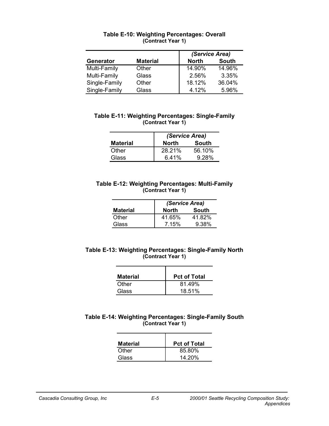|                  |                 | (Service Area)               |
|------------------|-----------------|------------------------------|
| <b>Generator</b> | <b>Material</b> | <b>South</b><br><b>North</b> |
| Multi-Family     | Other           | 14.90%<br>14.96%             |
| Multi-Family     | Glass           | 3.35%<br>2.56%               |
| Single-Family    | Other           | 18.12%<br>36.04%             |
| Single-Family    | Glass           | 4.12%<br>5.96%               |

### **Table E-10: Weighting Percentages: Overall (Contract Year 1)**

### **Table E-11: Weighting Percentages: Single-Family (Contract Year 1)**

|                 | (Service Area) |        |  |  |  |
|-----------------|----------------|--------|--|--|--|
| <b>Material</b> | North          | South  |  |  |  |
| Other           | 28.21%         | 56.10% |  |  |  |
| Glass           | 6.41%          | 9.28%  |  |  |  |

#### **Table E-12: Weighting Percentages: Multi-Family (Contract Year 1)**

|                 | (Service Area) |        |  |  |
|-----------------|----------------|--------|--|--|
| <b>Material</b> | <b>North</b>   | South  |  |  |
| Other           | 41.65%         | 41.82% |  |  |
| Glass           | 7.15%          | 9.38%  |  |  |

#### **Table E-13: Weighting Percentages: Single-Family North (Contract Year 1)**

| <b>Material</b> | <b>Pct of Total</b> |
|-----------------|---------------------|
| Other           | 81.49%              |
| Glass           | 18.51%              |

### **Table E-14: Weighting Percentages: Single-Family South (Contract Year 1)**

| <b>Material</b> | <b>Pct of Total</b> |
|-----------------|---------------------|
| Other           | 85.80%              |
| Glass           | 14.20%              |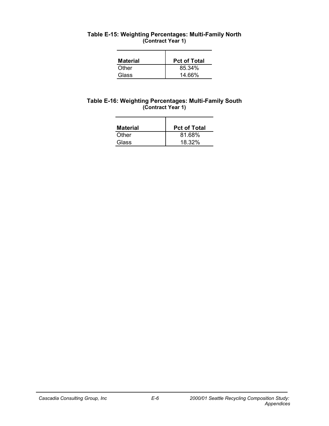| Table E-15: Weighting Percentages: Multi-Family North |  |
|-------------------------------------------------------|--|
| (Contract Year 1)                                     |  |

| <b>Material</b> | <b>Pct of Total</b> |
|-----------------|---------------------|
| Other           | 85.34%              |
| Glass           | 14.66%              |

### **Table E-16: Weighting Percentages: Multi-Family South (Contract Year 1)**

| <b>Material</b> | <b>Pct of Total</b> |
|-----------------|---------------------|
| Other           | 81.68%              |
| Glass           | 18.32%              |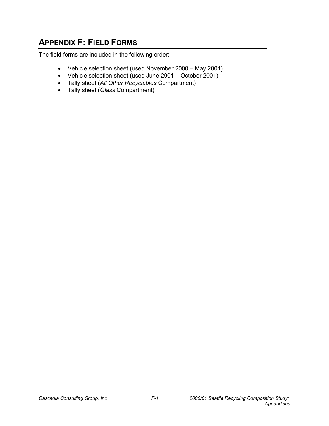# **APPENDIX F: FIELD FORMS**

The field forms are included in the following order:

- Vehicle selection sheet (used November 2000 May 2001)
- Vehicle selection sheet (used June 2001 October 2001)
- Tally sheet (*All Other Recyclables* Compartment)
- Tally sheet (*Glass* Compartment)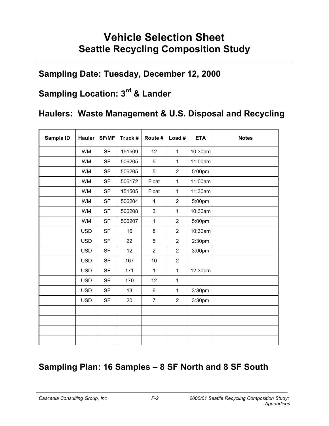# **Vehicle Selection Sheet Seattle Recycling Composition Study**

# **Sampling Date: Tuesday, December 12, 2000**

# **Sampling Location: 3rd & Lander**

# **Haulers: Waste Management & U.S. Disposal and Recycling**

| Sample ID | <b>Hauler</b> | <b>SF/MF</b> | Truck # | Route #                 | Load #         | <b>ETA</b>         | <b>Notes</b> |
|-----------|---------------|--------------|---------|-------------------------|----------------|--------------------|--------------|
|           | <b>WM</b>     | <b>SF</b>    | 151509  | 12                      | $\mathbf{1}$   | 10:30am            |              |
|           | <b>WM</b>     | <b>SF</b>    | 506205  | 5                       | 1              | 11:00am            |              |
|           | <b>WM</b>     | <b>SF</b>    | 506205  | 5                       | $\overline{2}$ | 5:00pm             |              |
|           | <b>WM</b>     | <b>SF</b>    | 506172  | Float                   | 1              | 11:00am            |              |
|           | <b>WM</b>     | <b>SF</b>    | 151505  | Float                   | 1              | 11:30am            |              |
|           | <b>WM</b>     | <b>SF</b>    | 506204  | $\overline{\mathbf{4}}$ | $\overline{2}$ | 5:00pm             |              |
|           | <b>WM</b>     | <b>SF</b>    | 506208  | 3                       | 1              | 10:30am            |              |
|           | <b>WM</b>     | <b>SF</b>    | 506207  | $\mathbf{1}$            | $\overline{2}$ | 5:00pm             |              |
|           | <b>USD</b>    | <b>SF</b>    | 16      | $\bf 8$                 | $\overline{2}$ | 10:30am            |              |
|           | <b>USD</b>    | <b>SF</b>    | 22      | 5                       | $\overline{2}$ | 2:30pm             |              |
|           | <b>USD</b>    | <b>SF</b>    | 12      | $\overline{2}$          | $\overline{2}$ | 3:00 <sub>pm</sub> |              |
|           | <b>USD</b>    | <b>SF</b>    | 167     | 10                      | $\overline{c}$ |                    |              |
|           | <b>USD</b>    | <b>SF</b>    | 171     | 1                       | 1              | 12:30pm            |              |
|           | <b>USD</b>    | <b>SF</b>    | 170     | 12                      | $\mathbf 1$    |                    |              |
|           | <b>USD</b>    | <b>SF</b>    | 13      | $\,6\,$                 | $\mathbf 1$    | 3:30pm             |              |
|           | <b>USD</b>    | <b>SF</b>    | 20      | $\overline{7}$          | $\overline{2}$ | 3:30pm             |              |
|           |               |              |         |                         |                |                    |              |
|           |               |              |         |                         |                |                    |              |
|           |               |              |         |                         |                |                    |              |
|           |               |              |         |                         |                |                    |              |

# **Sampling Plan: 16 Samples – 8 SF North and 8 SF South**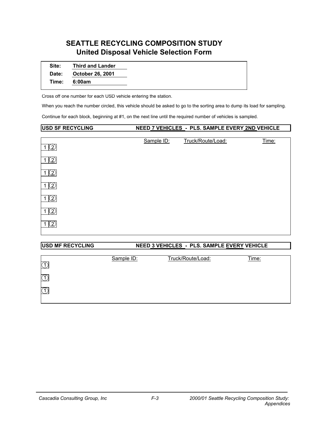### **SEATTLE RECYCLING COMPOSITION STUDY United Disposal Vehicle Selection Form**

| Site: | <b>Third and Lander</b> |  |
|-------|-------------------------|--|
| Date: | October 26, 2001        |  |
| Time: | 6:00am                  |  |

Cross off one number for each USD vehicle entering the station.

When you reach the number circled, this vehicle should be asked to go to the sorting area to dump its load for sampling.

Continue for each block, beginning at #1, on the next line until the required number of vehicles is sampled.

#### **USD SF RECYCLING NEED 7 VEHICLES - PLS. SAMPLE EVERY 2ND VEHICLE**

| $\mathcal{Q}$               | Sample ID: | Truck/Route/Load: | Time: |
|-----------------------------|------------|-------------------|-------|
| $\mathcal{Z}$               |            |                   |       |
| $\mathcal{Q}$               |            |                   |       |
| $\overline{\mathcal{L}}$    |            |                   |       |
| $\bf (2)$                   |            |                   |       |
| $\mathcal{Z}^{\mathcal{Y}}$ |            |                   |       |
| $\mathcal{Q}$               |            |                   |       |

# USD MF RECYCLING NEED 3 VEHICLES - PLS. SAMPLE EVERY VEHICLE

| 74 | Sample ID: | Truck/Route/Load: | <u>Time:</u> |
|----|------------|-------------------|--------------|
| r  |            |                   |              |
| r  |            |                   |              |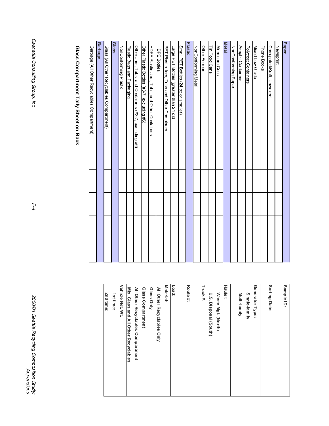| Paper                                                 | Sample ID:       |
|-------------------------------------------------------|------------------|
| <b>Newsprint</b>                                      |                  |
| Corrugated/Kraft, Unwaxed                             | Sorting Date:    |
| Phone Books                                           |                  |
| Mixed Low Grade                                       | Generator Type   |
| Polycoat Containers                                   | Single-famil     |
| Aseptic Containers                                    | Multi-family     |
| NonConforming Paper                                   |                  |
| <b>Metal</b>                                          | Hauler:          |
| Aluminum Cans                                         | Waste Mgt.       |
| Tin Food Cans                                         | U.S. Disposa     |
| Other Ferrous                                         | Truck#:          |
| NonConforming Metal                                   |                  |
| Plastic                                               | Route #:         |
| Small PET Bottles (24 oz or smaller)                  |                  |
| Large PET Bottles (greater than 24 oz)                | Load:            |
| PET Plastic Jars, Tubs and Other Containers           | Material:        |
| <b>HDPE Bottles</b>                                   | All Other Recy   |
| HDPE Plastic Jars, Tubs, and Other Containers         | Glass Only       |
| Other Plastic Bottles (#3-7, excluding #6)            | Glass Compart    |
| Other Jars, Tubs, and Containers (#3-7, excluding #6) | All Other Recy   |
| Plastic Bags and Packaging                            | Mix. Glass and   |
| NonConforming Plastic                                 | Vehicle Net. Wt. |
| Glass                                                 | 1st time:        |
| Glass (All Other Recyclables Compartment)             | 2nd time:        |
| <b>Garbage</b>                                        |                  |
| Garbage (All Other Recyclables Compartment)           |                  |
|                                                       |                  |

Glass Compartment Tally Sheet on Back **Glass Compartment Tally Sheet on Back**

| Sorting Date:                        |
|--------------------------------------|
| Generator Type:                      |
| Single-family                        |
| Multi-family                         |
| Hauler:                              |
| Waste Mgt. (North)                   |
| U.S. Disposal (South)                |
| Truck #:                             |
| Route #:                             |
| Load:                                |
| Material:                            |
| All Other Recyclables Only           |
| Glass Only                           |
| Glass Compartment                    |
| All Other Recyclables Compartment    |
| Mix. Glass and All Other Recyclables |
| Vehicle Net. Wt.                     |
| 1st time:                            |